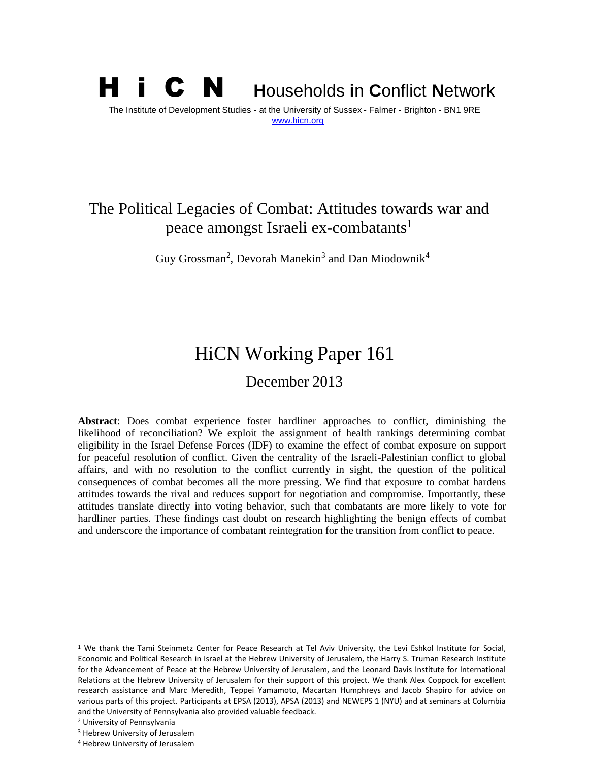## H i C N **<sup>H</sup>**ouseholds **i**<sup>n</sup> **<sup>C</sup>**onflict **<sup>N</sup>**etwork The Institute of Development Studies - at the University of Sussex - Falmer - Brighton - BN1 9RE [www.hicn.org](http://www.hicn.org/)

## The Political Legacies of Combat: Attitudes towards war and peace amongst Israeli ex-combatants<sup>1</sup>

Guy Grossman<sup>2</sup>, Devorah Manekin<sup>3</sup> and Dan Miodownik<sup>4</sup>

# HiCN Working Paper 161

## December 2013

**Abstract**: Does combat experience foster hardliner approaches to conflict, diminishing the likelihood of reconciliation? We exploit the assignment of health rankings determining combat eligibility in the Israel Defense Forces (IDF) to examine the effect of combat exposure on support for peaceful resolution of conflict. Given the centrality of the Israeli-Palestinian conflict to global affairs, and with no resolution to the conflict currently in sight, the question of the political consequences of combat becomes all the more pressing. We find that exposure to combat hardens attitudes towards the rival and reduces support for negotiation and compromise. Importantly, these attitudes translate directly into voting behavior, such that combatants are more likely to vote for hardliner parties. These findings cast doubt on research highlighting the benign effects of combat and underscore the importance of combatant reintegration for the transition from conflict to peace.

 $\overline{a}$ 

<sup>&</sup>lt;sup>1</sup> We thank the Tami Steinmetz Center for Peace Research at Tel Aviv University, the Levi Eshkol Institute for Social, Economic and Political Research in Israel at the Hebrew University of Jerusalem, the Harry S. Truman Research Institute for the Advancement of Peace at the Hebrew University of Jerusalem, and the Leonard Davis Institute for International Relations at the Hebrew University of Jerusalem for their support of this project. We thank Alex Coppock for excellent research assistance and Marc Meredith, Teppei Yamamoto, Macartan Humphreys and Jacob Shapiro for advice on various parts of this project. Participants at EPSA (2013), APSA (2013) and NEWEPS 1 (NYU) and at seminars at Columbia and the University of Pennsylvania also provided valuable feedback.

<sup>2</sup> University of Pennsylvania

<sup>3</sup> Hebrew University of Jerusalem

<sup>4</sup> Hebrew University of Jerusalem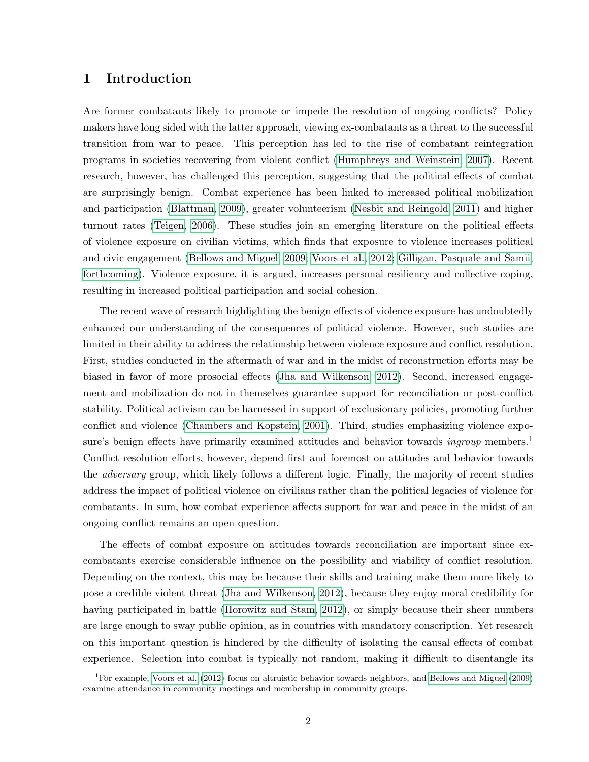## 1 Introduction

Are former combatants likely to promote or impede the resolution of ongoing conflicts? Policy makers have long sided with the latter approach, viewing ex-combatants as a threat to the successful transition from war to peace. This perception has led to the rise of combatant reintegration programs in societies recovering from violent conflict [\(Humphreys and Weinstein, 2007\)](#page-28-0). Recent research, however, has challenged this perception, suggesting that the political effects of combat are surprisingly benign. Combat experience has been linked to increased political mobilization and participation [\(Blattman, 2009\)](#page-27-0), greater volunteerism [\(Nesbit and Reingold, 2011\)](#page-29-0) and higher turnout rates [\(Teigen, 2006\)](#page-29-1). These studies join an emerging literature on the political effects of violence exposure on civilian victims, which finds that exposure to violence increases political and civic engagement [\(Bellows and Miguel, 2009;](#page-27-1) [Voors et al., 2012;](#page-29-2) [Gilligan, Pasquale and Samii,](#page-28-1) [forthcoming\)](#page-28-1). Violence exposure, it is argued, increases personal resiliency and collective coping, resulting in increased political participation and social cohesion.

The recent wave of research highlighting the benign effects of violence exposure has undoubtedly enhanced our understanding of the consequences of political violence. However, such studies are limited in their ability to address the relationship between violence exposure and conflict resolution. First, studies conducted in the aftermath of war and in the midst of reconstruction efforts may be biased in favor of more prosocial effects [\(Jha and Wilkenson, 2012\)](#page-28-2). Second, increased engagement and mobilization do not in themselves guarantee support for reconciliation or post-conflict stability. Political activism can be harnessed in support of exclusionary policies, promoting further conflict and violence [\(Chambers and Kopstein, 2001\)](#page-27-2). Third, studies emphasizing violence exposure's benign effects have primarily examined attitudes and behavior towards *ingroup* members.<sup>1</sup> Conflict resolution efforts, however, depend first and foremost on attitudes and behavior towards the adversary group, which likely follows a different logic. Finally, the majority of recent studies address the impact of political violence on civilians rather than the political legacies of violence for combatants. In sum, how combat experience affects support for war and peace in the midst of an ongoing conflict remains an open question.

The effects of combat exposure on attitudes towards reconciliation are important since excombatants exercise considerable influence on the possibility and viability of conflict resolution. Depending on the context, this may be because their skills and training make them more likely to pose a credible violent threat [\(Jha and Wilkenson, 2012\)](#page-28-2), because they enjoy moral credibility for having participated in battle [\(Horowitz and Stam, 2012\)](#page-28-3), or simply because their sheer numbers are large enough to sway public opinion, as in countries with mandatory conscription. Yet research on this important question is hindered by the difficulty of isolating the causal effects of combat experience. Selection into combat is typically not random, making it difficult to disentangle its

<sup>1</sup>For example, [Voors et al.](#page-29-2) [\(2012\)](#page-29-2) focus on altruistic behavior towards neighbors, and [Bellows and Miguel](#page-27-1) [\(2009\)](#page-27-1) examine attendance in community meetings and membership in community groups.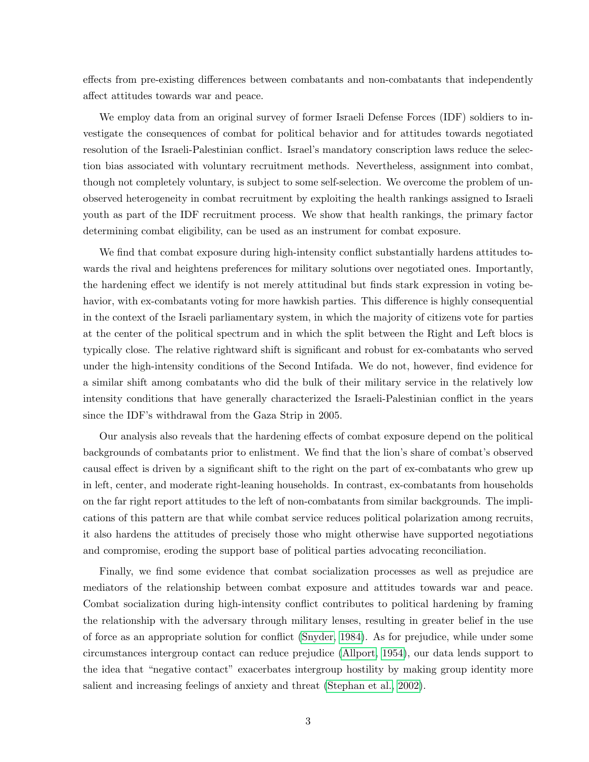effects from pre-existing differences between combatants and non-combatants that independently affect attitudes towards war and peace.

We employ data from an original survey of former Israeli Defense Forces (IDF) soldiers to investigate the consequences of combat for political behavior and for attitudes towards negotiated resolution of the Israeli-Palestinian conflict. Israel's mandatory conscription laws reduce the selection bias associated with voluntary recruitment methods. Nevertheless, assignment into combat, though not completely voluntary, is subject to some self-selection. We overcome the problem of unobserved heterogeneity in combat recruitment by exploiting the health rankings assigned to Israeli youth as part of the IDF recruitment process. We show that health rankings, the primary factor determining combat eligibility, can be used as an instrument for combat exposure.

We find that combat exposure during high-intensity conflict substantially hardens attitudes towards the rival and heightens preferences for military solutions over negotiated ones. Importantly, the hardening effect we identify is not merely attitudinal but finds stark expression in voting behavior, with ex-combatants voting for more hawkish parties. This difference is highly consequential in the context of the Israeli parliamentary system, in which the majority of citizens vote for parties at the center of the political spectrum and in which the split between the Right and Left blocs is typically close. The relative rightward shift is significant and robust for ex-combatants who served under the high-intensity conditions of the Second Intifada. We do not, however, find evidence for a similar shift among combatants who did the bulk of their military service in the relatively low intensity conditions that have generally characterized the Israeli-Palestinian conflict in the years since the IDF's withdrawal from the Gaza Strip in 2005.

Our analysis also reveals that the hardening effects of combat exposure depend on the political backgrounds of combatants prior to enlistment. We find that the lion's share of combat's observed causal effect is driven by a significant shift to the right on the part of ex-combatants who grew up in left, center, and moderate right-leaning households. In contrast, ex-combatants from households on the far right report attitudes to the left of non-combatants from similar backgrounds. The implications of this pattern are that while combat service reduces political polarization among recruits, it also hardens the attitudes of precisely those who might otherwise have supported negotiations and compromise, eroding the support base of political parties advocating reconciliation.

Finally, we find some evidence that combat socialization processes as well as prejudice are mediators of the relationship between combat exposure and attitudes towards war and peace. Combat socialization during high-intensity conflict contributes to political hardening by framing the relationship with the adversary through military lenses, resulting in greater belief in the use of force as an appropriate solution for conflict [\(Snyder, 1984\)](#page-29-3). As for prejudice, while under some circumstances intergroup contact can reduce prejudice [\(Allport, 1954\)](#page-27-3), our data lends support to the idea that "negative contact" exacerbates intergroup hostility by making group identity more salient and increasing feelings of anxiety and threat [\(Stephan et al., 2002\)](#page-29-4).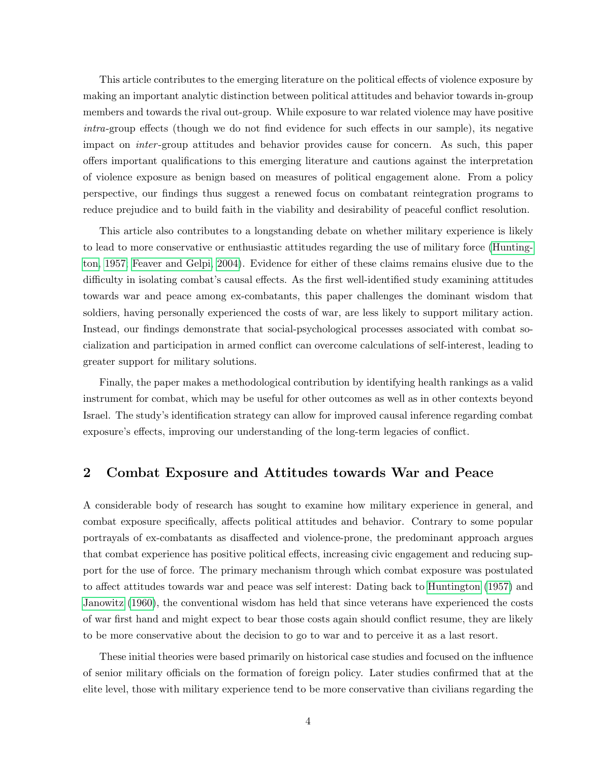This article contributes to the emerging literature on the political effects of violence exposure by making an important analytic distinction between political attitudes and behavior towards in-group members and towards the rival out-group. While exposure to war related violence may have positive intra-group effects (though we do not find evidence for such effects in our sample), its negative impact on inter -group attitudes and behavior provides cause for concern. As such, this paper offers important qualifications to this emerging literature and cautions against the interpretation of violence exposure as benign based on measures of political engagement alone. From a policy perspective, our findings thus suggest a renewed focus on combatant reintegration programs to reduce prejudice and to build faith in the viability and desirability of peaceful conflict resolution.

This article also contributes to a longstanding debate on whether military experience is likely to lead to more conservative or enthusiastic attitudes regarding the use of military force [\(Hunting](#page-28-4)[ton, 1957;](#page-28-4) [Feaver and Gelpi, 2004\)](#page-27-4). Evidence for either of these claims remains elusive due to the difficulty in isolating combat's causal effects. As the first well-identified study examining attitudes towards war and peace among ex-combatants, this paper challenges the dominant wisdom that soldiers, having personally experienced the costs of war, are less likely to support military action. Instead, our findings demonstrate that social-psychological processes associated with combat socialization and participation in armed conflict can overcome calculations of self-interest, leading to greater support for military solutions.

Finally, the paper makes a methodological contribution by identifying health rankings as a valid instrument for combat, which may be useful for other outcomes as well as in other contexts beyond Israel. The study's identification strategy can allow for improved causal inference regarding combat exposure's effects, improving our understanding of the long-term legacies of conflict.

## <span id="page-3-0"></span>2 Combat Exposure and Attitudes towards War and Peace

A considerable body of research has sought to examine how military experience in general, and combat exposure specifically, affects political attitudes and behavior. Contrary to some popular portrayals of ex-combatants as disaffected and violence-prone, the predominant approach argues that combat experience has positive political effects, increasing civic engagement and reducing support for the use of force. The primary mechanism through which combat exposure was postulated to affect attitudes towards war and peace was self interest: Dating back to [Huntington](#page-28-4) [\(1957\)](#page-28-4) and [Janowitz](#page-28-5) [\(1960\)](#page-28-5), the conventional wisdom has held that since veterans have experienced the costs of war first hand and might expect to bear those costs again should conflict resume, they are likely to be more conservative about the decision to go to war and to perceive it as a last resort.

These initial theories were based primarily on historical case studies and focused on the influence of senior military officials on the formation of foreign policy. Later studies confirmed that at the elite level, those with military experience tend to be more conservative than civilians regarding the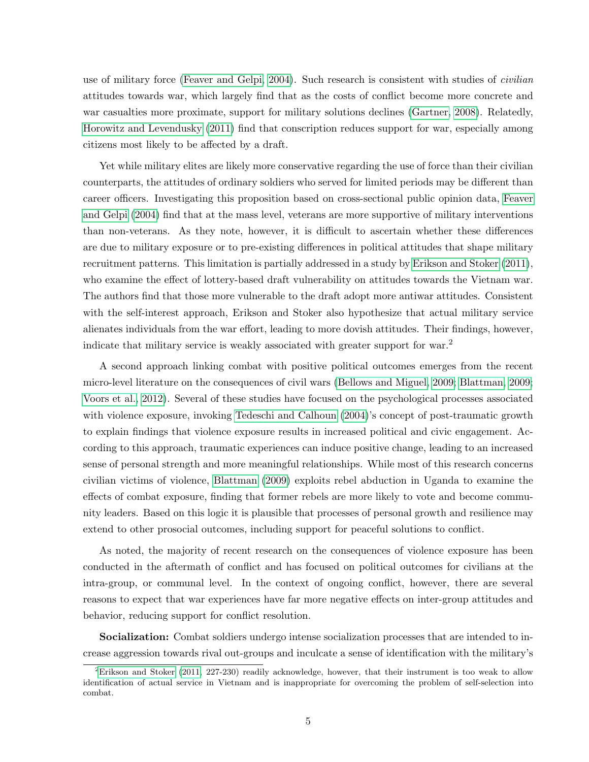use of military force [\(Feaver and Gelpi, 2004\)](#page-27-4). Such research is consistent with studies of *civilian* attitudes towards war, which largely find that as the costs of conflict become more concrete and war casualties more proximate, support for military solutions declines [\(Gartner, 2008\)](#page-28-6). Relatedly, [Horowitz and Levendusky](#page-28-7) [\(2011\)](#page-28-7) find that conscription reduces support for war, especially among citizens most likely to be affected by a draft.

Yet while military elites are likely more conservative regarding the use of force than their civilian counterparts, the attitudes of ordinary soldiers who served for limited periods may be different than career officers. Investigating this proposition based on cross-sectional public opinion data, [Feaver](#page-27-4) [and Gelpi](#page-27-4) [\(2004\)](#page-27-4) find that at the mass level, veterans are more supportive of military interventions than non-veterans. As they note, however, it is difficult to ascertain whether these differences are due to military exposure or to pre-existing differences in political attitudes that shape military recruitment patterns. This limitation is partially addressed in a study by [Erikson and Stoker](#page-27-5) [\(2011\)](#page-27-5), who examine the effect of lottery-based draft vulnerability on attitudes towards the Vietnam war. The authors find that those more vulnerable to the draft adopt more antiwar attitudes. Consistent with the self-interest approach, Erikson and Stoker also hypothesize that actual military service alienates individuals from the war effort, leading to more dovish attitudes. Their findings, however, indicate that military service is weakly associated with greater support for war.<sup>2</sup>

A second approach linking combat with positive political outcomes emerges from the recent micro-level literature on the consequences of civil wars [\(Bellows and Miguel, 2009;](#page-27-1) [Blattman, 2009;](#page-27-0) [Voors et al., 2012\)](#page-29-2). Several of these studies have focused on the psychological processes associated with violence exposure, invoking [Tedeschi and Calhoun](#page-29-5) [\(2004\)](#page-29-5)'s concept of post-traumatic growth to explain findings that violence exposure results in increased political and civic engagement. According to this approach, traumatic experiences can induce positive change, leading to an increased sense of personal strength and more meaningful relationships. While most of this research concerns civilian victims of violence, [Blattman](#page-27-0) [\(2009\)](#page-27-0) exploits rebel abduction in Uganda to examine the effects of combat exposure, finding that former rebels are more likely to vote and become community leaders. Based on this logic it is plausible that processes of personal growth and resilience may extend to other prosocial outcomes, including support for peaceful solutions to conflict.

As noted, the majority of recent research on the consequences of violence exposure has been conducted in the aftermath of conflict and has focused on political outcomes for civilians at the intra-group, or communal level. In the context of ongoing conflict, however, there are several reasons to expect that war experiences have far more negative effects on inter-group attitudes and behavior, reducing support for conflict resolution.

Socialization: Combat soldiers undergo intense socialization processes that are intended to increase aggression towards rival out-groups and inculcate a sense of identification with the military's

<sup>&</sup>lt;sup>2</sup>[Erikson and Stoker](#page-27-5) [\(2011,](#page-27-5) 227-230) readily acknowledge, however, that their instrument is too weak to allow identification of actual service in Vietnam and is inappropriate for overcoming the problem of self-selection into combat.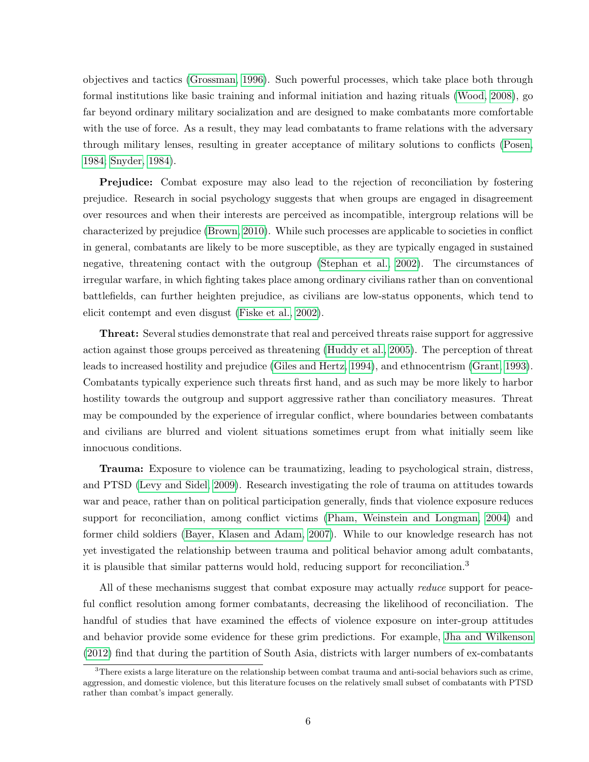objectives and tactics [\(Grossman, 1996\)](#page-28-8). Such powerful processes, which take place both through formal institutions like basic training and informal initiation and hazing rituals [\(Wood, 2008\)](#page-29-6), go far beyond ordinary military socialization and are designed to make combatants more comfortable with the use of force. As a result, they may lead combatants to frame relations with the adversary through military lenses, resulting in greater acceptance of military solutions to conflicts [\(Posen,](#page-29-7) [1984;](#page-29-7) [Snyder, 1984\)](#page-29-3).

Prejudice: Combat exposure may also lead to the rejection of reconciliation by fostering prejudice. Research in social psychology suggests that when groups are engaged in disagreement over resources and when their interests are perceived as incompatible, intergroup relations will be characterized by prejudice [\(Brown, 2010\)](#page-27-6). While such processes are applicable to societies in conflict in general, combatants are likely to be more susceptible, as they are typically engaged in sustained negative, threatening contact with the outgroup [\(Stephan et al., 2002\)](#page-29-4). The circumstances of irregular warfare, in which fighting takes place among ordinary civilians rather than on conventional battlefields, can further heighten prejudice, as civilians are low-status opponents, which tend to elicit contempt and even disgust [\(Fiske et al., 2002\)](#page-28-9).

Threat: Several studies demonstrate that real and perceived threats raise support for aggressive action against those groups perceived as threatening [\(Huddy et al., 2005\)](#page-28-10). The perception of threat leads to increased hostility and prejudice [\(Giles and Hertz, 1994\)](#page-28-11), and ethnocentrism [\(Grant, 1993\)](#page-28-12). Combatants typically experience such threats first hand, and as such may be more likely to harbor hostility towards the outgroup and support aggressive rather than conciliatory measures. Threat may be compounded by the experience of irregular conflict, where boundaries between combatants and civilians are blurred and violent situations sometimes erupt from what initially seem like innocuous conditions.

Trauma: Exposure to violence can be traumatizing, leading to psychological strain, distress, and PTSD [\(Levy and Sidel, 2009\)](#page-29-8). Research investigating the role of trauma on attitudes towards war and peace, rather than on political participation generally, finds that violence exposure reduces support for reconciliation, among conflict victims [\(Pham, Weinstein and Longman, 2004\)](#page-29-9) and former child soldiers [\(Bayer, Klasen and Adam, 2007\)](#page-27-7). While to our knowledge research has not yet investigated the relationship between trauma and political behavior among adult combatants, it is plausible that similar patterns would hold, reducing support for reconciliation.<sup>3</sup>

All of these mechanisms suggest that combat exposure may actually *reduce* support for peaceful conflict resolution among former combatants, decreasing the likelihood of reconciliation. The handful of studies that have examined the effects of violence exposure on inter-group attitudes and behavior provide some evidence for these grim predictions. For example, [Jha and Wilkenson](#page-28-2) [\(2012\)](#page-28-2) find that during the partition of South Asia, districts with larger numbers of ex-combatants

<sup>3</sup>There exists a large literature on the relationship between combat trauma and anti-social behaviors such as crime, aggression, and domestic violence, but this literature focuses on the relatively small subset of combatants with PTSD rather than combat's impact generally.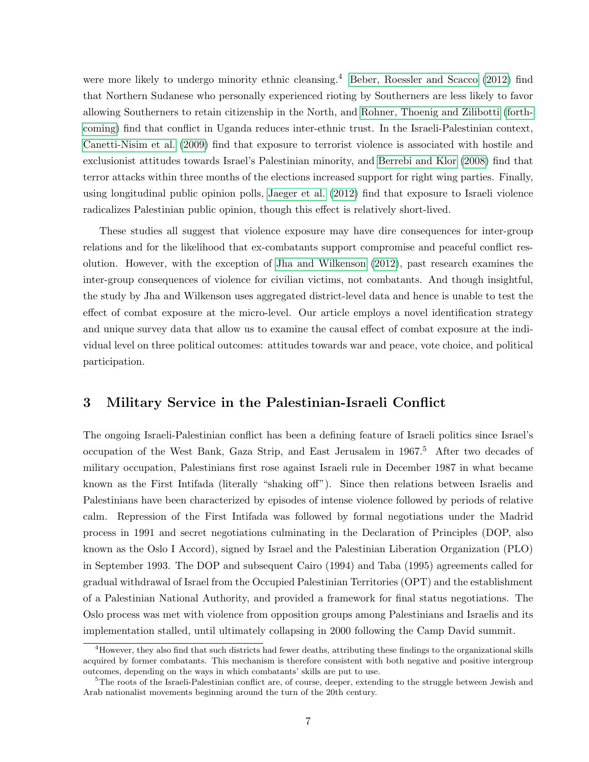were more likely to undergo minority ethnic cleansing.<sup>4</sup> [Beber, Roessler and Scacco](#page-27-8) [\(2012\)](#page-27-8) find that Northern Sudanese who personally experienced rioting by Southerners are less likely to favor allowing Southerners to retain citizenship in the North, and [Rohner, Thoenig and Zilibotti](#page-29-10) [\(forth](#page-29-10)[coming\)](#page-29-10) find that conflict in Uganda reduces inter-ethnic trust. In the Israeli-Palestinian context, [Canetti-Nisim et al.](#page-27-9) [\(2009\)](#page-27-9) find that exposure to terrorist violence is associated with hostile and exclusionist attitudes towards Israel's Palestinian minority, and [Berrebi and Klor](#page-27-10) [\(2008\)](#page-27-10) find that terror attacks within three months of the elections increased support for right wing parties. Finally, using longitudinal public opinion polls, [Jaeger et al.](#page-28-13) [\(2012\)](#page-28-13) find that exposure to Israeli violence radicalizes Palestinian public opinion, though this effect is relatively short-lived.

These studies all suggest that violence exposure may have dire consequences for inter-group relations and for the likelihood that ex-combatants support compromise and peaceful conflict resolution. However, with the exception of [Jha and Wilkenson](#page-28-2) [\(2012\)](#page-28-2), past research examines the inter-group consequences of violence for civilian victims, not combatants. And though insightful, the study by Jha and Wilkenson uses aggregated district-level data and hence is unable to test the effect of combat exposure at the micro-level. Our article employs a novel identification strategy and unique survey data that allow us to examine the causal effect of combat exposure at the individual level on three political outcomes: attitudes towards war and peace, vote choice, and political participation.

## 3 Military Service in the Palestinian-Israeli Conflict

The ongoing Israeli-Palestinian conflict has been a defining feature of Israeli politics since Israel's occupation of the West Bank, Gaza Strip, and East Jerusalem in 1967.<sup>5</sup> After two decades of military occupation, Palestinians first rose against Israeli rule in December 1987 in what became known as the First Intifada (literally "shaking off"). Since then relations between Israelis and Palestinians have been characterized by episodes of intense violence followed by periods of relative calm. Repression of the First Intifada was followed by formal negotiations under the Madrid process in 1991 and secret negotiations culminating in the Declaration of Principles (DOP, also known as the Oslo I Accord), signed by Israel and the Palestinian Liberation Organization (PLO) in September 1993. The DOP and subsequent Cairo (1994) and Taba (1995) agreements called for gradual withdrawal of Israel from the Occupied Palestinian Territories (OPT) and the establishment of a Palestinian National Authority, and provided a framework for final status negotiations. The Oslo process was met with violence from opposition groups among Palestinians and Israelis and its implementation stalled, until ultimately collapsing in 2000 following the Camp David summit.

<sup>4</sup>However, they also find that such districts had fewer deaths, attributing these findings to the organizational skills acquired by former combatants. This mechanism is therefore consistent with both negative and positive intergroup outcomes, depending on the ways in which combatants' skills are put to use.

<sup>&</sup>lt;sup>5</sup>The roots of the Israeli-Palestinian conflict are, of course, deeper, extending to the struggle between Jewish and Arab nationalist movements beginning around the turn of the 20th century.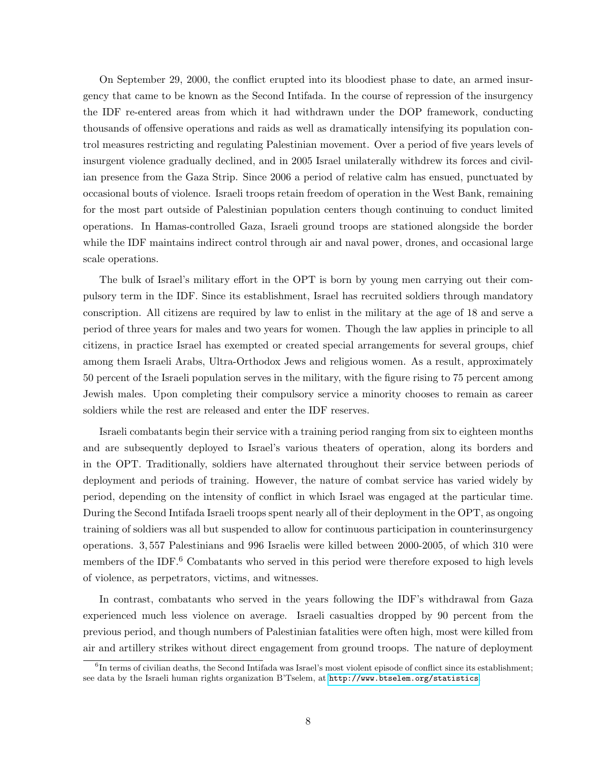On September 29, 2000, the conflict erupted into its bloodiest phase to date, an armed insurgency that came to be known as the Second Intifada. In the course of repression of the insurgency the IDF re-entered areas from which it had withdrawn under the DOP framework, conducting thousands of offensive operations and raids as well as dramatically intensifying its population control measures restricting and regulating Palestinian movement. Over a period of five years levels of insurgent violence gradually declined, and in 2005 Israel unilaterally withdrew its forces and civilian presence from the Gaza Strip. Since 2006 a period of relative calm has ensued, punctuated by occasional bouts of violence. Israeli troops retain freedom of operation in the West Bank, remaining for the most part outside of Palestinian population centers though continuing to conduct limited operations. In Hamas-controlled Gaza, Israeli ground troops are stationed alongside the border while the IDF maintains indirect control through air and naval power, drones, and occasional large scale operations.

The bulk of Israel's military effort in the OPT is born by young men carrying out their compulsory term in the IDF. Since its establishment, Israel has recruited soldiers through mandatory conscription. All citizens are required by law to enlist in the military at the age of 18 and serve a period of three years for males and two years for women. Though the law applies in principle to all citizens, in practice Israel has exempted or created special arrangements for several groups, chief among them Israeli Arabs, Ultra-Orthodox Jews and religious women. As a result, approximately 50 percent of the Israeli population serves in the military, with the figure rising to 75 percent among Jewish males. Upon completing their compulsory service a minority chooses to remain as career soldiers while the rest are released and enter the IDF reserves.

Israeli combatants begin their service with a training period ranging from six to eighteen months and are subsequently deployed to Israel's various theaters of operation, along its borders and in the OPT. Traditionally, soldiers have alternated throughout their service between periods of deployment and periods of training. However, the nature of combat service has varied widely by period, depending on the intensity of conflict in which Israel was engaged at the particular time. During the Second Intifada Israeli troops spent nearly all of their deployment in the OPT, as ongoing training of soldiers was all but suspended to allow for continuous participation in counterinsurgency operations. 3, 557 Palestinians and 996 Israelis were killed between 2000-2005, of which 310 were members of the IDF.<sup>6</sup> Combatants who served in this period were therefore exposed to high levels of violence, as perpetrators, victims, and witnesses.

In contrast, combatants who served in the years following the IDF's withdrawal from Gaza experienced much less violence on average. Israeli casualties dropped by 90 percent from the previous period, and though numbers of Palestinian fatalities were often high, most were killed from air and artillery strikes without direct engagement from ground troops. The nature of deployment

 ${}^{6}$ In terms of civilian deaths, the Second Intifada was Israel's most violent episode of conflict since its establishment; see data by the Israeli human rights organization B'Tselem, at <http://www.btselem.org/statistics>.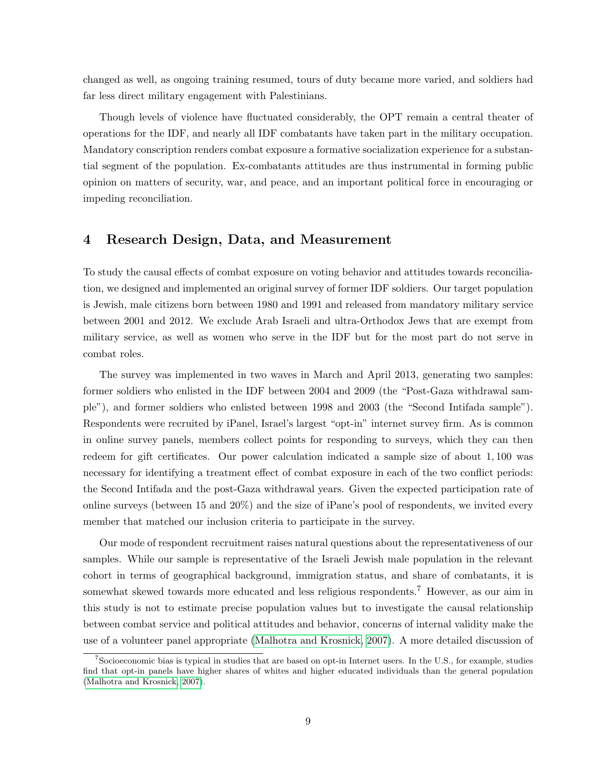changed as well, as ongoing training resumed, tours of duty became more varied, and soldiers had far less direct military engagement with Palestinians.

Though levels of violence have fluctuated considerably, the OPT remain a central theater of operations for the IDF, and nearly all IDF combatants have taken part in the military occupation. Mandatory conscription renders combat exposure a formative socialization experience for a substantial segment of the population. Ex-combatants attitudes are thus instrumental in forming public opinion on matters of security, war, and peace, and an important political force in encouraging or impeding reconciliation.

## 4 Research Design, Data, and Measurement

To study the causal effects of combat exposure on voting behavior and attitudes towards reconciliation, we designed and implemented an original survey of former IDF soldiers. Our target population is Jewish, male citizens born between 1980 and 1991 and released from mandatory military service between 2001 and 2012. We exclude Arab Israeli and ultra-Orthodox Jews that are exempt from military service, as well as women who serve in the IDF but for the most part do not serve in combat roles.

The survey was implemented in two waves in March and April 2013, generating two samples: former soldiers who enlisted in the IDF between 2004 and 2009 (the "Post-Gaza withdrawal sample"), and former soldiers who enlisted between 1998 and 2003 (the "Second Intifada sample"). Respondents were recruited by iPanel, Israel's largest "opt-in" internet survey firm. As is common in online survey panels, members collect points for responding to surveys, which they can then redeem for gift certificates. Our power calculation indicated a sample size of about 1, 100 was necessary for identifying a treatment effect of combat exposure in each of the two conflict periods: the Second Intifada and the post-Gaza withdrawal years. Given the expected participation rate of online surveys (between 15 and 20%) and the size of iPane's pool of respondents, we invited every member that matched our inclusion criteria to participate in the survey.

Our mode of respondent recruitment raises natural questions about the representativeness of our samples. While our sample is representative of the Israeli Jewish male population in the relevant cohort in terms of geographical background, immigration status, and share of combatants, it is somewhat skewed towards more educated and less religious respondents.<sup>7</sup> However, as our aim in this study is not to estimate precise population values but to investigate the causal relationship between combat service and political attitudes and behavior, concerns of internal validity make the use of a volunteer panel appropriate [\(Malhotra and Krosnick, 2007\)](#page-29-11). A more detailed discussion of

<sup>7</sup>Socioeconomic bias is typical in studies that are based on opt-in Internet users. In the U.S., for example, studies find that opt-in panels have higher shares of whites and higher educated individuals than the general population [\(Malhotra and Krosnick, 2007\)](#page-29-11).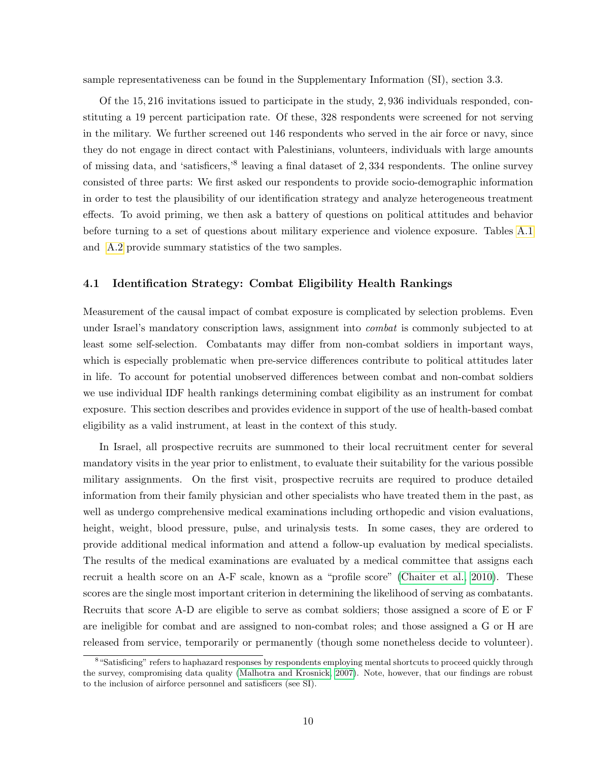sample representativeness can be found in the Supplementary Information (SI), section 3.3.

Of the 15, 216 invitations issued to participate in the study, 2, 936 individuals responded, constituting a 19 percent participation rate. Of these, 328 respondents were screened for not serving in the military. We further screened out 146 respondents who served in the air force or navy, since they do not engage in direct contact with Palestinians, volunteers, individuals with large amounts of missing data, and 'satisficers,'<sup>8</sup> leaving a final dataset of 2, 334 respondents. The online survey consisted of three parts: We first asked our respondents to provide socio-demographic information in order to test the plausibility of our identification strategy and analyze heterogeneous treatment effects. To avoid priming, we then ask a battery of questions on political attitudes and behavior before turning to a set of questions about military experience and violence exposure. Tables [A.1](#page-30-0) and [A.2](#page-31-0) provide summary statistics of the two samples.

#### <span id="page-9-0"></span>4.1 Identification Strategy: Combat Eligibility Health Rankings

Measurement of the causal impact of combat exposure is complicated by selection problems. Even under Israel's mandatory conscription laws, assignment into *combat* is commonly subjected to at least some self-selection. Combatants may differ from non-combat soldiers in important ways, which is especially problematic when pre-service differences contribute to political attitudes later in life. To account for potential unobserved differences between combat and non-combat soldiers we use individual IDF health rankings determining combat eligibility as an instrument for combat exposure. This section describes and provides evidence in support of the use of health-based combat eligibility as a valid instrument, at least in the context of this study.

In Israel, all prospective recruits are summoned to their local recruitment center for several mandatory visits in the year prior to enlistment, to evaluate their suitability for the various possible military assignments. On the first visit, prospective recruits are required to produce detailed information from their family physician and other specialists who have treated them in the past, as well as undergo comprehensive medical examinations including orthopedic and vision evaluations, height, weight, blood pressure, pulse, and urinalysis tests. In some cases, they are ordered to provide additional medical information and attend a follow-up evaluation by medical specialists. The results of the medical examinations are evaluated by a medical committee that assigns each recruit a health score on an A-F scale, known as a "profile score" [\(Chaiter et al., 2010\)](#page-27-11). These scores are the single most important criterion in determining the likelihood of serving as combatants. Recruits that score A-D are eligible to serve as combat soldiers; those assigned a score of E or F are ineligible for combat and are assigned to non-combat roles; and those assigned a G or H are released from service, temporarily or permanently (though some nonetheless decide to volunteer).

<sup>&</sup>lt;sup>8</sup> "Satisficing" refers to haphazard responses by respondents employing mental shortcuts to proceed quickly through the survey, compromising data quality [\(Malhotra and Krosnick, 2007\)](#page-29-11). Note, however, that our findings are robust to the inclusion of airforce personnel and satisficers (see SI).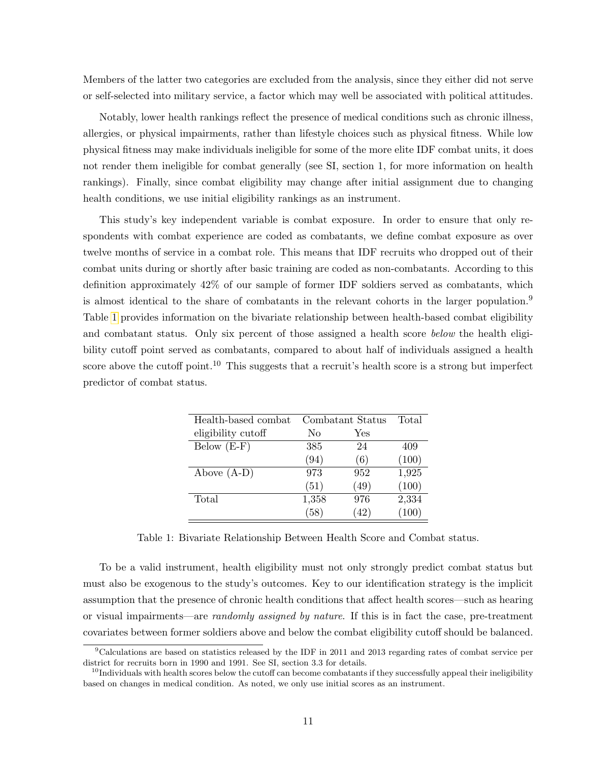Members of the latter two categories are excluded from the analysis, since they either did not serve or self-selected into military service, a factor which may well be associated with political attitudes.

Notably, lower health rankings reflect the presence of medical conditions such as chronic illness, allergies, or physical impairments, rather than lifestyle choices such as physical fitness. While low physical fitness may make individuals ineligible for some of the more elite IDF combat units, it does not render them ineligible for combat generally (see SI, section 1, for more information on health rankings). Finally, since combat eligibility may change after initial assignment due to changing health conditions, we use initial eligibility rankings as an instrument.

This study's key independent variable is combat exposure. In order to ensure that only respondents with combat experience are coded as combatants, we define combat exposure as over twelve months of service in a combat role. This means that IDF recruits who dropped out of their combat units during or shortly after basic training are coded as non-combatants. According to this definition approximately 42% of our sample of former IDF soldiers served as combatants, which is almost identical to the share of combatants in the relevant cohorts in the larger population.<sup>9</sup> Table [1](#page-10-0) provides information on the bivariate relationship between health-based combat eligibility and combatant status. Only six percent of those assigned a health score below the health eligibility cutoff point served as combatants, compared to about half of individuals assigned a health score above the cutoff point.<sup>10</sup> This suggests that a recruit's health score is a strong but imperfect predictor of combat status.

<span id="page-10-0"></span>

| Health-based combat |       | Combatant Status | Total |
|---------------------|-------|------------------|-------|
| eligibility cutoff  | No    | Yes              |       |
| Below $(E-F)$       | 385   | 24               | 409   |
|                     | (94)  | (6)              | (100) |
| Above $(A-D)$       | 973   | 952              | 1,925 |
|                     | (51)  | (49)             | (100) |
| Total               | 1,358 | 976              | 2,334 |
|                     | (58)  | (42)             | (100) |

Table 1: Bivariate Relationship Between Health Score and Combat status.

To be a valid instrument, health eligibility must not only strongly predict combat status but must also be exogenous to the study's outcomes. Key to our identification strategy is the implicit assumption that the presence of chronic health conditions that affect health scores—such as hearing or visual impairments—are randomly assigned by nature. If this is in fact the case, pre-treatment covariates between former soldiers above and below the combat eligibility cutoff should be balanced.

<sup>9</sup>Calculations are based on statistics released by the IDF in 2011 and 2013 regarding rates of combat service per district for recruits born in 1990 and 1991. See SI, section 3.3 for details.

 $10$ Individuals with health scores below the cutoff can become combatants if they successfully appeal their ineligibility based on changes in medical condition. As noted, we only use initial scores as an instrument.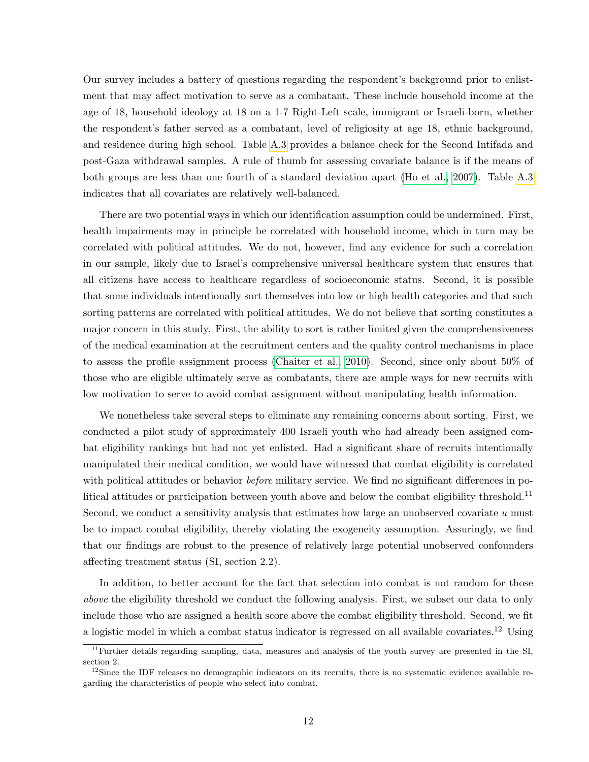Our survey includes a battery of questions regarding the respondent's background prior to enlistment that may affect motivation to serve as a combatant. These include household income at the age of 18, household ideology at 18 on a 1-7 Right-Left scale, immigrant or Israeli-born, whether the respondent's father served as a combatant, level of religiosity at age 18, ethnic background, and residence during high school. Table [A.3](#page-32-0) provides a balance check for the Second Intifada and post-Gaza withdrawal samples. A rule of thumb for assessing covariate balance is if the means of both groups are less than one fourth of a standard deviation apart [\(Ho et al., 2007\)](#page-28-14). Table [A.3](#page-32-0) indicates that all covariates are relatively well-balanced.

There are two potential ways in which our identification assumption could be undermined. First, health impairments may in principle be correlated with household income, which in turn may be correlated with political attitudes. We do not, however, find any evidence for such a correlation in our sample, likely due to Israel's comprehensive universal healthcare system that ensures that all citizens have access to healthcare regardless of socioeconomic status. Second, it is possible that some individuals intentionally sort themselves into low or high health categories and that such sorting patterns are correlated with political attitudes. We do not believe that sorting constitutes a major concern in this study. First, the ability to sort is rather limited given the comprehensiveness of the medical examination at the recruitment centers and the quality control mechanisms in place to assess the profile assignment process [\(Chaiter et al., 2010\)](#page-27-11). Second, since only about 50% of those who are eligible ultimately serve as combatants, there are ample ways for new recruits with low motivation to serve to avoid combat assignment without manipulating health information.

We nonetheless take several steps to eliminate any remaining concerns about sorting. First, we conducted a pilot study of approximately 400 Israeli youth who had already been assigned combat eligibility rankings but had not yet enlisted. Had a significant share of recruits intentionally manipulated their medical condition, we would have witnessed that combat eligibility is correlated with political attitudes or behavior *before* military service. We find no significant differences in political attitudes or participation between youth above and below the combat eligibility threshold.<sup>11</sup> Second, we conduct a sensitivity analysis that estimates how large an unobserved covariate u must be to impact combat eligibility, thereby violating the exogeneity assumption. Assuringly, we find that our findings are robust to the presence of relatively large potential unobserved confounders affecting treatment status (SI, section 2.2).

In addition, to better account for the fact that selection into combat is not random for those above the eligibility threshold we conduct the following analysis. First, we subset our data to only include those who are assigned a health score above the combat eligibility threshold. Second, we fit a logistic model in which a combat status indicator is regressed on all available covariates.<sup>12</sup> Using

<sup>&</sup>lt;sup>11</sup>Further details regarding sampling, data, measures and analysis of the youth survey are presented in the SI, section 2.

 $12$ Since the IDF releases no demographic indicators on its recruits, there is no systematic evidence available regarding the characteristics of people who select into combat.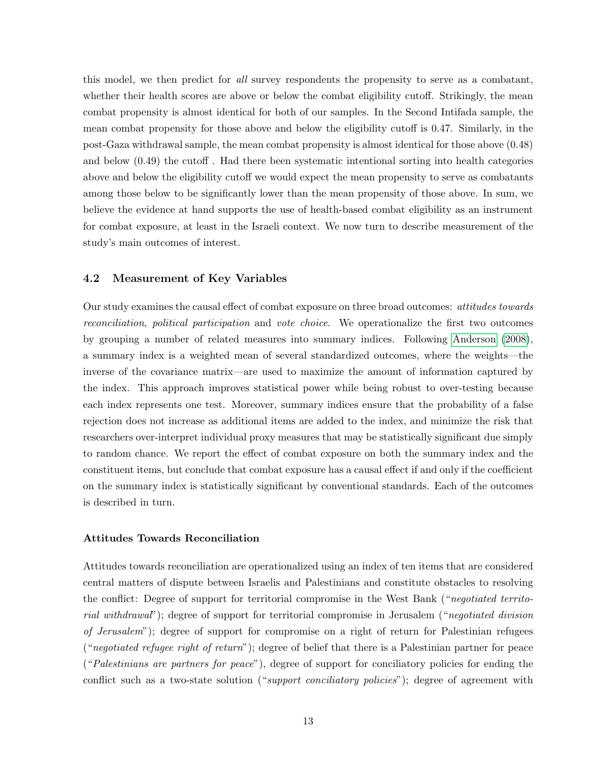this model, we then predict for all survey respondents the propensity to serve as a combatant, whether their health scores are above or below the combat eligibility cutoff. Strikingly, the mean combat propensity is almost identical for both of our samples. In the Second Intifada sample, the mean combat propensity for those above and below the eligibility cutoff is 0.47. Similarly, in the post-Gaza withdrawal sample, the mean combat propensity is almost identical for those above (0.48) and below (0.49) the cutoff . Had there been systematic intentional sorting into health categories above and below the eligibility cutoff we would expect the mean propensity to serve as combatants among those below to be significantly lower than the mean propensity of those above. In sum, we believe the evidence at hand supports the use of health-based combat eligibility as an instrument for combat exposure, at least in the Israeli context. We now turn to describe measurement of the study's main outcomes of interest.

#### 4.2 Measurement of Key Variables

Our study examines the causal effect of combat exposure on three broad outcomes: attitudes towards reconciliation, political participation and vote choice. We operationalize the first two outcomes by grouping a number of related measures into summary indices. Following [Anderson](#page-27-12) [\(2008\)](#page-27-12), a summary index is a weighted mean of several standardized outcomes, where the weights—the inverse of the covariance matrix—are used to maximize the amount of information captured by the index. This approach improves statistical power while being robust to over-testing because each index represents one test. Moreover, summary indices ensure that the probability of a false rejection does not increase as additional items are added to the index, and minimize the risk that researchers over-interpret individual proxy measures that may be statistically significant due simply to random chance. We report the effect of combat exposure on both the summary index and the constituent items, but conclude that combat exposure has a causal effect if and only if the coefficient on the summary index is statistically significant by conventional standards. Each of the outcomes is described in turn.

#### Attitudes Towards Reconciliation

Attitudes towards reconciliation are operationalized using an index of ten items that are considered central matters of dispute between Israelis and Palestinians and constitute obstacles to resolving the conflict: Degree of support for territorial compromise in the West Bank ("negotiated territorial withdrawal"); degree of support for territorial compromise in Jerusalem ("negotiated division of Jerusalem"); degree of support for compromise on a right of return for Palestinian refugees ("negotiated refugee right of return"); degree of belief that there is a Palestinian partner for peace ("Palestinians are partners for peace"), degree of support for conciliatory policies for ending the conflict such as a two-state solution ("support conciliatory policies"); degree of agreement with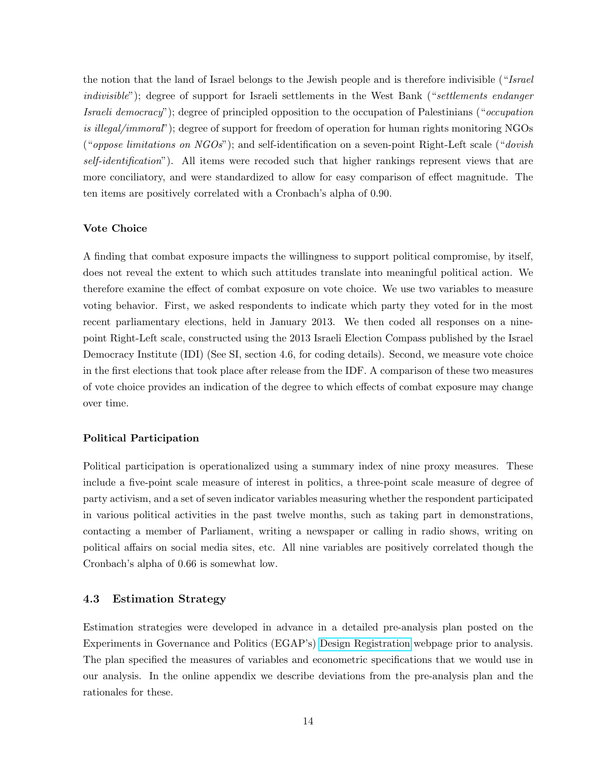the notion that the land of Israel belongs to the Jewish people and is therefore indivisible ("Israel indivisible"); degree of support for Israeli settlements in the West Bank ("settlements endanger Israeli democracy"); degree of principled opposition to the occupation of Palestinians ("occupation is illegal/immoral"); degree of support for freedom of operation for human rights monitoring NGOs ("*oppose limitations on NGOs*"); and self-identification on a seven-point Right-Left scale ("*dovish*) self-identification"). All items were recoded such that higher rankings represent views that are more conciliatory, and were standardized to allow for easy comparison of effect magnitude. The ten items are positively correlated with a Cronbach's alpha of 0.90.

#### Vote Choice

A finding that combat exposure impacts the willingness to support political compromise, by itself, does not reveal the extent to which such attitudes translate into meaningful political action. We therefore examine the effect of combat exposure on vote choice. We use two variables to measure voting behavior. First, we asked respondents to indicate which party they voted for in the most recent parliamentary elections, held in January 2013. We then coded all responses on a ninepoint Right-Left scale, constructed using the 2013 Israeli Election Compass published by the Israel Democracy Institute (IDI) (See SI, section 4.6, for coding details). Second, we measure vote choice in the first elections that took place after release from the IDF. A comparison of these two measures of vote choice provides an indication of the degree to which effects of combat exposure may change over time.

#### Political Participation

Political participation is operationalized using a summary index of nine proxy measures. These include a five-point scale measure of interest in politics, a three-point scale measure of degree of party activism, and a set of seven indicator variables measuring whether the respondent participated in various political activities in the past twelve months, such as taking part in demonstrations, contacting a member of Parliament, writing a newspaper or calling in radio shows, writing on political affairs on social media sites, etc. All nine variables are positively correlated though the Cronbach's alpha of 0.66 is somewhat low.

#### 4.3 Estimation Strategy

Estimation strategies were developed in advance in a detailed pre-analysis plan posted on the Experiments in Governance and Politics (EGAP's) [Design Registration](http://e-gap.org/design-registration/) webpage prior to analysis. The plan specified the measures of variables and econometric specifications that we would use in our analysis. In the online appendix we describe deviations from the pre-analysis plan and the rationales for these.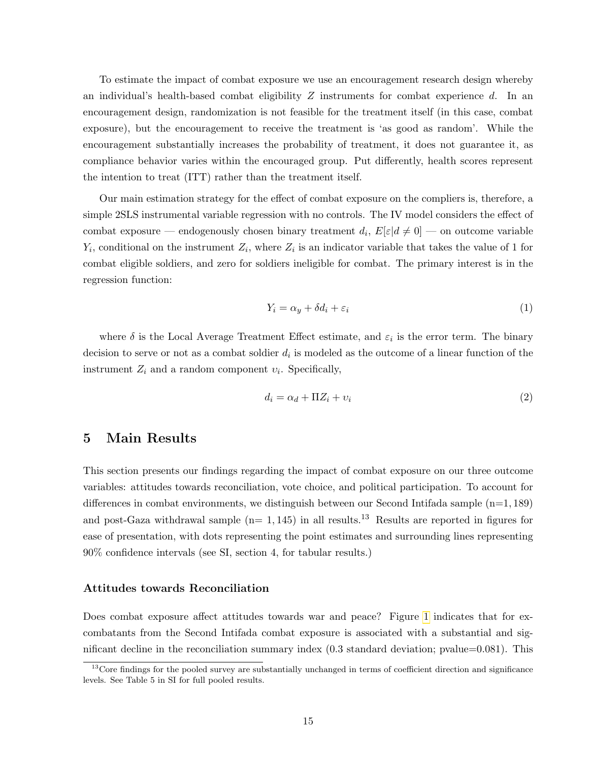To estimate the impact of combat exposure we use an encouragement research design whereby an individual's health-based combat eligibility  $Z$  instruments for combat experience  $d$ . In an encouragement design, randomization is not feasible for the treatment itself (in this case, combat exposure), but the encouragement to receive the treatment is 'as good as random'. While the encouragement substantially increases the probability of treatment, it does not guarantee it, as compliance behavior varies within the encouraged group. Put differently, health scores represent the intention to treat (ITT) rather than the treatment itself.

Our main estimation strategy for the effect of combat exposure on the compliers is, therefore, a simple 2SLS instrumental variable regression with no controls. The IV model considers the effect of combat exposure — endogenously chosen binary treatment  $d_i$ ,  $E[\varepsilon | d \neq 0]$  — on outcome variable  $Y_i$ , conditional on the instrument  $Z_i$ , where  $Z_i$  is an indicator variable that takes the value of 1 for combat eligible soldiers, and zero for soldiers ineligible for combat. The primary interest is in the regression function:

$$
Y_i = \alpha_y + \delta d_i + \varepsilon_i \tag{1}
$$

where  $\delta$  is the Local Average Treatment Effect estimate, and  $\varepsilon_i$  is the error term. The binary decision to serve or not as a combat soldier  $d_i$  is modeled as the outcome of a linear function of the instrument  $Z_i$  and a random component  $v_i$ . Specifically,

$$
d_i = \alpha_d + \Pi Z_i + \nu_i \tag{2}
$$

### 5 Main Results

This section presents our findings regarding the impact of combat exposure on our three outcome variables: attitudes towards reconciliation, vote choice, and political participation. To account for differences in combat environments, we distinguish between our Second Intifada sample (n=1, 189) and post-Gaza withdrawal sample  $(n= 1, 145)$  in all results.<sup>13</sup> Results are reported in figures for ease of presentation, with dots representing the point estimates and surrounding lines representing 90% confidence intervals (see SI, section 4, for tabular results.)

#### Attitudes towards Reconciliation

Does combat exposure affect attitudes towards war and peace? Figure [1](#page-15-0) indicates that for excombatants from the Second Intifada combat exposure is associated with a substantial and significant decline in the reconciliation summary index (0.3 standard deviation; pvalue=0.081). This

<sup>&</sup>lt;sup>13</sup>Core findings for the pooled survey are substantially unchanged in terms of coefficient direction and significance levels. See Table 5 in SI for full pooled results.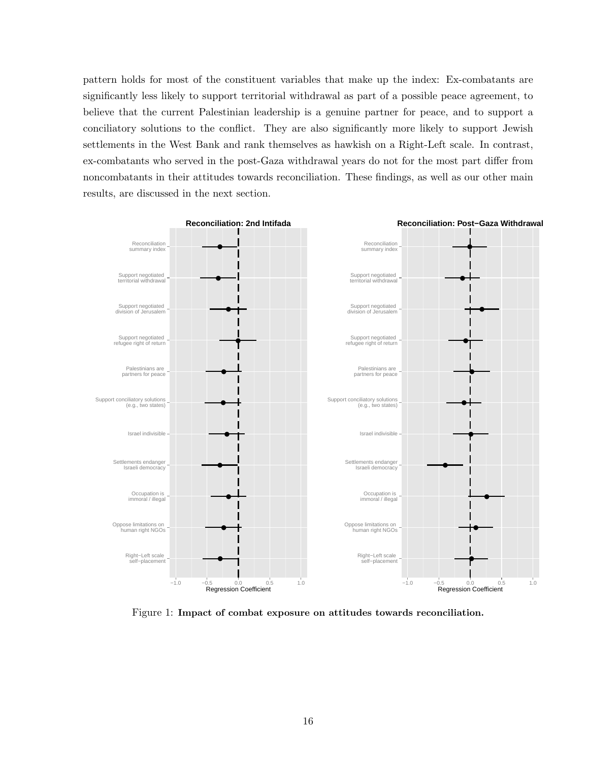pattern holds for most of the constituent variables that make up the index: Ex-combatants are significantly less likely to support territorial withdrawal as part of a possible peace agreement, to believe that the current Palestinian leadership is a genuine partner for peace, and to support a conciliatory solutions to the conflict. They are also significantly more likely to support Jewish settlements in the West Bank and rank themselves as hawkish on a Right-Left scale. In contrast, ex-combatants who served in the post-Gaza withdrawal years do not for the most part differ from noncombatants in their attitudes towards reconciliation. These findings, as well as our other main results, are discussed in the next section.

<span id="page-15-0"></span>

Figure 1: Impact of combat exposure on attitudes towards reconciliation.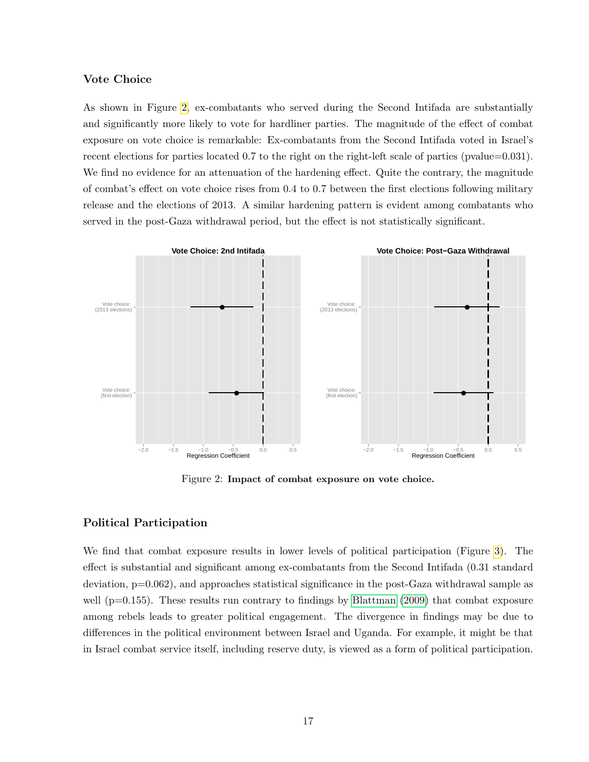#### Vote Choice

As shown in Figure [2,](#page-16-0) ex-combatants who served during the Second Intifada are substantially and significantly more likely to vote for hardliner parties. The magnitude of the effect of combat exposure on vote choice is remarkable: Ex-combatants from the Second Intifada voted in Israel's recent elections for parties located 0.7 to the right on the right-left scale of parties (pvalue=0.031). We find no evidence for an attenuation of the hardening effect. Quite the contrary, the magnitude of combat's effect on vote choice rises from 0.4 to 0.7 between the first elections following military release and the elections of 2013. A similar hardening pattern is evident among combatants who served in the post-Gaza withdrawal period, but the effect is not statistically significant.

<span id="page-16-0"></span>

Figure 2: Impact of combat exposure on vote choice.

#### Political Participation

We find that combat exposure results in lower levels of political participation (Figure [3\)](#page-17-0). The effect is substantial and significant among ex-combatants from the Second Intifada (0.31 standard deviation, p=0.062), and approaches statistical significance in the post-Gaza withdrawal sample as well ( $p=0.155$ ). These results run contrary to findings by [Blattman](#page-27-0) [\(2009\)](#page-27-0) that combat exposure among rebels leads to greater political engagement. The divergence in findings may be due to differences in the political environment between Israel and Uganda. For example, it might be that in Israel combat service itself, including reserve duty, is viewed as a form of political participation.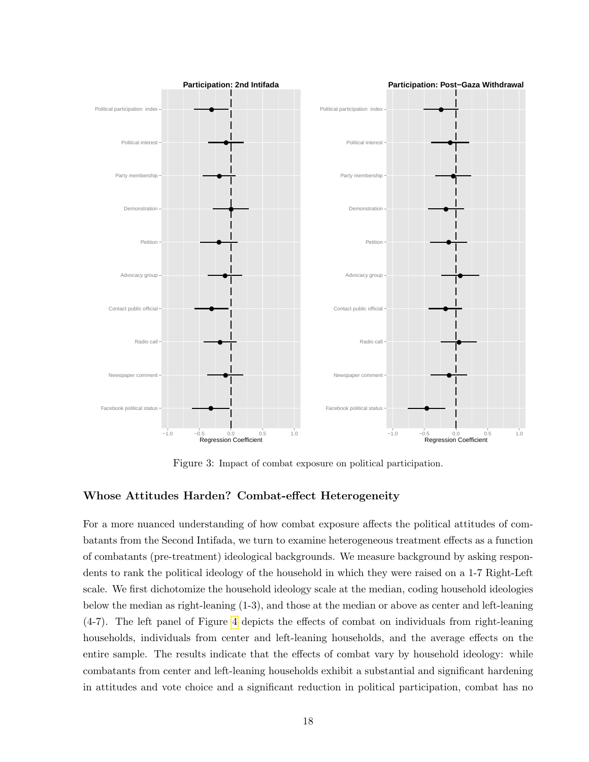<span id="page-17-0"></span>

Figure 3: Impact of combat exposure on political participation.

#### Whose Attitudes Harden? Combat-effect Heterogeneity

For a more nuanced understanding of how combat exposure affects the political attitudes of combatants from the Second Intifada, we turn to examine heterogeneous treatment effects as a function of combatants (pre-treatment) ideological backgrounds. We measure background by asking respondents to rank the political ideology of the household in which they were raised on a 1-7 Right-Left scale. We first dichotomize the household ideology scale at the median, coding household ideologies below the median as right-leaning (1-3), and those at the median or above as center and left-leaning (4-7). The left panel of Figure [4](#page-18-0) depicts the effects of combat on individuals from right-leaning households, individuals from center and left-leaning households, and the average effects on the entire sample. The results indicate that the effects of combat vary by household ideology: while combatants from center and left-leaning households exhibit a substantial and significant hardening in attitudes and vote choice and a significant reduction in political participation, combat has no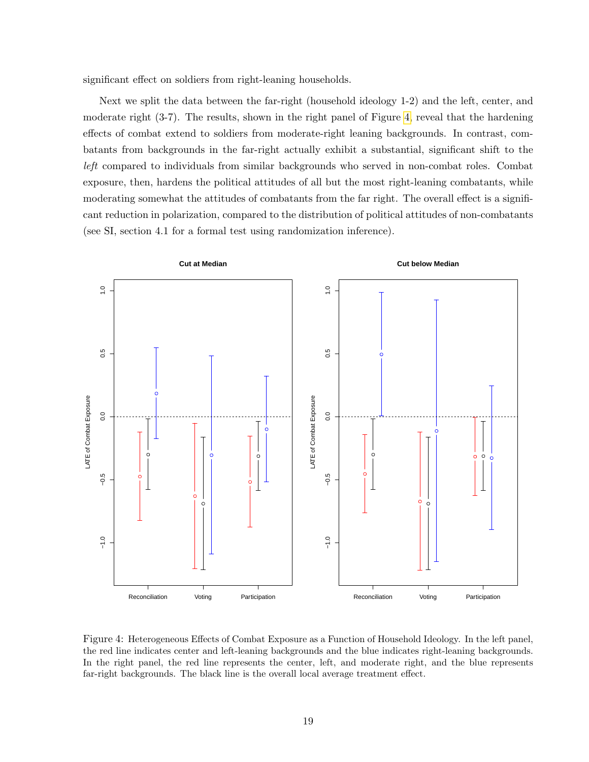significant effect on soldiers from right-leaning households.

Next we split the data between the far-right (household ideology 1-2) and the left, center, and moderate right (3-7). The results, shown in the right panel of Figure [4,](#page-18-0) reveal that the hardening effects of combat extend to soldiers from moderate-right leaning backgrounds. In contrast, combatants from backgrounds in the far-right actually exhibit a substantial, significant shift to the left compared to individuals from similar backgrounds who served in non-combat roles. Combat exposure, then, hardens the political attitudes of all but the most right-leaning combatants, while moderating somewhat the attitudes of combatants from the far right. The overall effect is a significant reduction in polarization, compared to the distribution of political attitudes of non-combatants (see SI, section 4.1 for a formal test using randomization inference).

<span id="page-18-0"></span>

Figure 4: Heterogeneous Effects of Combat Exposure as a Function of Household Ideology. In the left panel, the red line indicates center and left-leaning backgrounds and the blue indicates right-leaning backgrounds. In the right panel, the red line represents the center, left, and moderate right, and the blue represents far-right backgrounds. The black line is the overall local average treatment effect.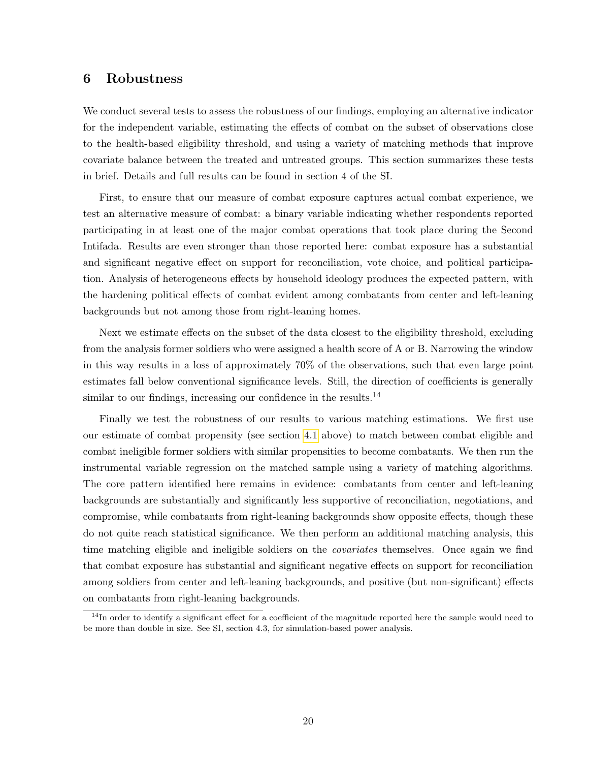## 6 Robustness

We conduct several tests to assess the robustness of our findings, employing an alternative indicator for the independent variable, estimating the effects of combat on the subset of observations close to the health-based eligibility threshold, and using a variety of matching methods that improve covariate balance between the treated and untreated groups. This section summarizes these tests in brief. Details and full results can be found in section 4 of the SI.

First, to ensure that our measure of combat exposure captures actual combat experience, we test an alternative measure of combat: a binary variable indicating whether respondents reported participating in at least one of the major combat operations that took place during the Second Intifada. Results are even stronger than those reported here: combat exposure has a substantial and significant negative effect on support for reconciliation, vote choice, and political participation. Analysis of heterogeneous effects by household ideology produces the expected pattern, with the hardening political effects of combat evident among combatants from center and left-leaning backgrounds but not among those from right-leaning homes.

Next we estimate effects on the subset of the data closest to the eligibility threshold, excluding from the analysis former soldiers who were assigned a health score of A or B. Narrowing the window in this way results in a loss of approximately 70% of the observations, such that even large point estimates fall below conventional significance levels. Still, the direction of coefficients is generally similar to our findings, increasing our confidence in the results.<sup>14</sup>

Finally we test the robustness of our results to various matching estimations. We first use our estimate of combat propensity (see section [4.1](#page-9-0) above) to match between combat eligible and combat ineligible former soldiers with similar propensities to become combatants. We then run the instrumental variable regression on the matched sample using a variety of matching algorithms. The core pattern identified here remains in evidence: combatants from center and left-leaning backgrounds are substantially and significantly less supportive of reconciliation, negotiations, and compromise, while combatants from right-leaning backgrounds show opposite effects, though these do not quite reach statistical significance. We then perform an additional matching analysis, this time matching eligible and ineligible soldiers on the *covariates* themselves. Once again we find that combat exposure has substantial and significant negative effects on support for reconciliation among soldiers from center and left-leaning backgrounds, and positive (but non-significant) effects on combatants from right-leaning backgrounds.

 $14$ In order to identify a significant effect for a coefficient of the magnitude reported here the sample would need to be more than double in size. See SI, section 4.3, for simulation-based power analysis.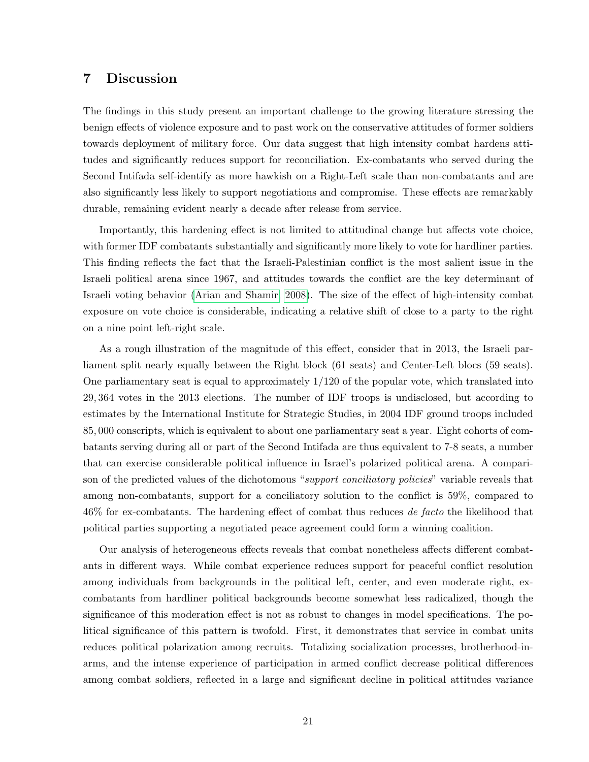## 7 Discussion

The findings in this study present an important challenge to the growing literature stressing the benign effects of violence exposure and to past work on the conservative attitudes of former soldiers towards deployment of military force. Our data suggest that high intensity combat hardens attitudes and significantly reduces support for reconciliation. Ex-combatants who served during the Second Intifada self-identify as more hawkish on a Right-Left scale than non-combatants and are also significantly less likely to support negotiations and compromise. These effects are remarkably durable, remaining evident nearly a decade after release from service.

Importantly, this hardening effect is not limited to attitudinal change but affects vote choice, with former IDF combatants substantially and significantly more likely to vote for hardliner parties. This finding reflects the fact that the Israeli-Palestinian conflict is the most salient issue in the Israeli political arena since 1967, and attitudes towards the conflict are the key determinant of Israeli voting behavior [\(Arian and Shamir, 2008\)](#page-27-13). The size of the effect of high-intensity combat exposure on vote choice is considerable, indicating a relative shift of close to a party to the right on a nine point left-right scale.

As a rough illustration of the magnitude of this effect, consider that in 2013, the Israeli parliament split nearly equally between the Right block (61 seats) and Center-Left blocs (59 seats). One parliamentary seat is equal to approximately 1/120 of the popular vote, which translated into 29, 364 votes in the 2013 elections. The number of IDF troops is undisclosed, but according to estimates by the International Institute for Strategic Studies, in 2004 IDF ground troops included 85, 000 conscripts, which is equivalent to about one parliamentary seat a year. Eight cohorts of combatants serving during all or part of the Second Intifada are thus equivalent to 7-8 seats, a number that can exercise considerable political influence in Israel's polarized political arena. A comparison of the predicted values of the dichotomous "support conciliatory policies" variable reveals that among non-combatants, support for a conciliatory solution to the conflict is 59%, compared to 46% for ex-combatants. The hardening effect of combat thus reduces de facto the likelihood that political parties supporting a negotiated peace agreement could form a winning coalition.

Our analysis of heterogeneous effects reveals that combat nonetheless affects different combatants in different ways. While combat experience reduces support for peaceful conflict resolution among individuals from backgrounds in the political left, center, and even moderate right, excombatants from hardliner political backgrounds become somewhat less radicalized, though the significance of this moderation effect is not as robust to changes in model specifications. The political significance of this pattern is twofold. First, it demonstrates that service in combat units reduces political polarization among recruits. Totalizing socialization processes, brotherhood-inarms, and the intense experience of participation in armed conflict decrease political differences among combat soldiers, reflected in a large and significant decline in political attitudes variance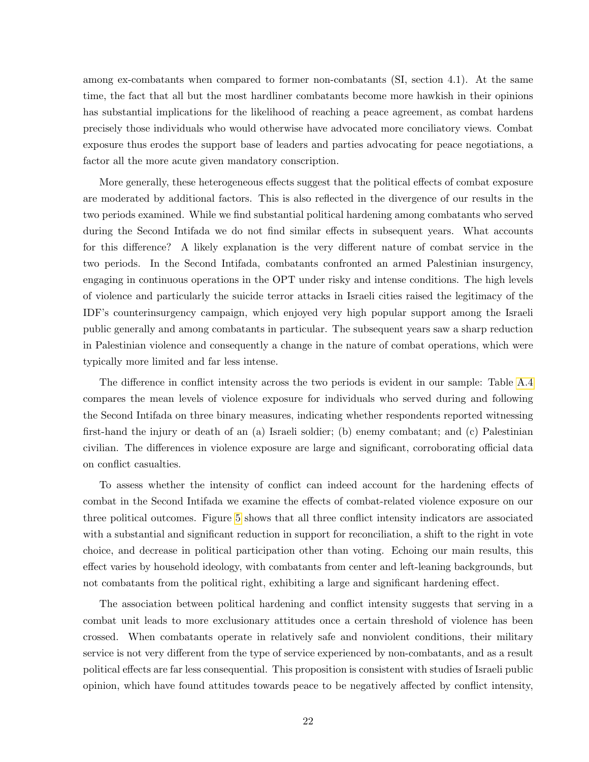among ex-combatants when compared to former non-combatants (SI, section 4.1). At the same time, the fact that all but the most hardliner combatants become more hawkish in their opinions has substantial implications for the likelihood of reaching a peace agreement, as combat hardens precisely those individuals who would otherwise have advocated more conciliatory views. Combat exposure thus erodes the support base of leaders and parties advocating for peace negotiations, a factor all the more acute given mandatory conscription.

More generally, these heterogeneous effects suggest that the political effects of combat exposure are moderated by additional factors. This is also reflected in the divergence of our results in the two periods examined. While we find substantial political hardening among combatants who served during the Second Intifada we do not find similar effects in subsequent years. What accounts for this difference? A likely explanation is the very different nature of combat service in the two periods. In the Second Intifada, combatants confronted an armed Palestinian insurgency, engaging in continuous operations in the OPT under risky and intense conditions. The high levels of violence and particularly the suicide terror attacks in Israeli cities raised the legitimacy of the IDF's counterinsurgency campaign, which enjoyed very high popular support among the Israeli public generally and among combatants in particular. The subsequent years saw a sharp reduction in Palestinian violence and consequently a change in the nature of combat operations, which were typically more limited and far less intense.

The difference in conflict intensity across the two periods is evident in our sample: Table [A.4](#page-32-1) compares the mean levels of violence exposure for individuals who served during and following the Second Intifada on three binary measures, indicating whether respondents reported witnessing first-hand the injury or death of an (a) Israeli soldier; (b) enemy combatant; and (c) Palestinian civilian. The differences in violence exposure are large and significant, corroborating official data on conflict casualties.

To assess whether the intensity of conflict can indeed account for the hardening effects of combat in the Second Intifada we examine the effects of combat-related violence exposure on our three political outcomes. Figure [5](#page-22-0) shows that all three conflict intensity indicators are associated with a substantial and significant reduction in support for reconciliation, a shift to the right in vote choice, and decrease in political participation other than voting. Echoing our main results, this effect varies by household ideology, with combatants from center and left-leaning backgrounds, but not combatants from the political right, exhibiting a large and significant hardening effect.

The association between political hardening and conflict intensity suggests that serving in a combat unit leads to more exclusionary attitudes once a certain threshold of violence has been crossed. When combatants operate in relatively safe and nonviolent conditions, their military service is not very different from the type of service experienced by non-combatants, and as a result political effects are far less consequential. This proposition is consistent with studies of Israeli public opinion, which have found attitudes towards peace to be negatively affected by conflict intensity,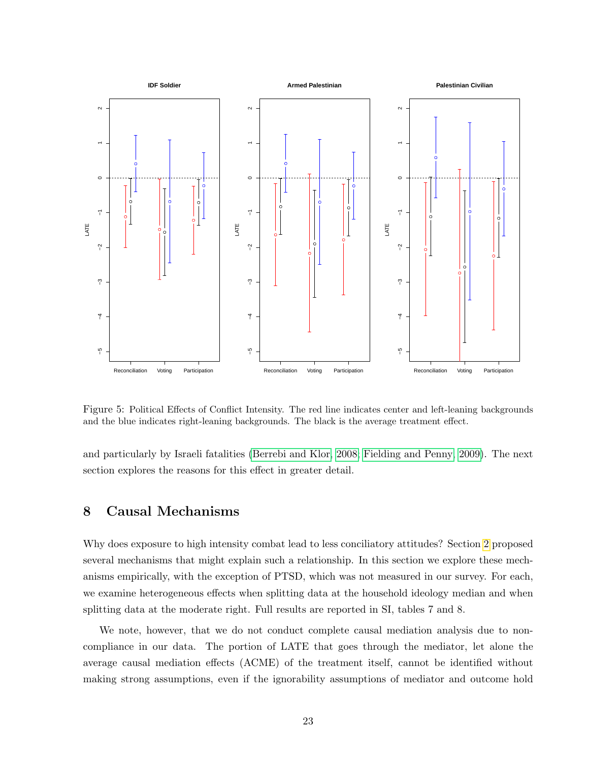<span id="page-22-0"></span>

Figure 5: Political Effects of Conflict Intensity. The red line indicates center and left-leaning backgrounds and the blue indicates right-leaning backgrounds. The black is the average treatment effect.

and particularly by Israeli fatalities [\(Berrebi and Klor, 2008;](#page-27-10) [Fielding and Penny, 2009\)](#page-28-15). The next section explores the reasons for this effect in greater detail.

### 8 Causal Mechanisms

Why does exposure to high intensity combat lead to less conciliatory attitudes? Section [2](#page-3-0) proposed several mechanisms that might explain such a relationship. In this section we explore these mechanisms empirically, with the exception of PTSD, which was not measured in our survey. For each, we examine heterogeneous effects when splitting data at the household ideology median and when splitting data at the moderate right. Full results are reported in SI, tables 7 and 8.

We note, however, that we do not conduct complete causal mediation analysis due to noncompliance in our data. The portion of LATE that goes through the mediator, let alone the average causal mediation effects (ACME) of the treatment itself, cannot be identified without making strong assumptions, even if the ignorability assumptions of mediator and outcome hold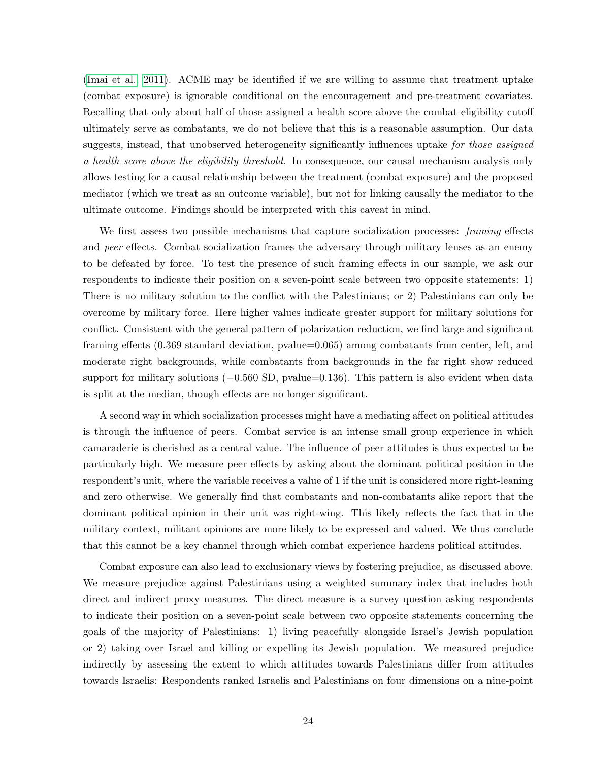[\(Imai et al., 2011\)](#page-28-16). ACME may be identified if we are willing to assume that treatment uptake (combat exposure) is ignorable conditional on the encouragement and pre-treatment covariates. Recalling that only about half of those assigned a health score above the combat eligibility cutoff ultimately serve as combatants, we do not believe that this is a reasonable assumption. Our data suggests, instead, that unobserved heterogeneity significantly influences uptake for those assigned a health score above the eligibility threshold. In consequence, our causal mechanism analysis only allows testing for a causal relationship between the treatment (combat exposure) and the proposed mediator (which we treat as an outcome variable), but not for linking causally the mediator to the ultimate outcome. Findings should be interpreted with this caveat in mind.

We first assess two possible mechanisms that capture socialization processes: *framing* effects and peer effects. Combat socialization frames the adversary through military lenses as an enemy to be defeated by force. To test the presence of such framing effects in our sample, we ask our respondents to indicate their position on a seven-point scale between two opposite statements: 1) There is no military solution to the conflict with the Palestinians; or 2) Palestinians can only be overcome by military force. Here higher values indicate greater support for military solutions for conflict. Consistent with the general pattern of polarization reduction, we find large and significant framing effects (0.369 standard deviation, pvalue=0.065) among combatants from center, left, and moderate right backgrounds, while combatants from backgrounds in the far right show reduced support for military solutions  $(-0.560 S D, pvalue=0.136)$ . This pattern is also evident when data is split at the median, though effects are no longer significant.

A second way in which socialization processes might have a mediating affect on political attitudes is through the influence of peers. Combat service is an intense small group experience in which camaraderie is cherished as a central value. The influence of peer attitudes is thus expected to be particularly high. We measure peer effects by asking about the dominant political position in the respondent's unit, where the variable receives a value of 1 if the unit is considered more right-leaning and zero otherwise. We generally find that combatants and non-combatants alike report that the dominant political opinion in their unit was right-wing. This likely reflects the fact that in the military context, militant opinions are more likely to be expressed and valued. We thus conclude that this cannot be a key channel through which combat experience hardens political attitudes.

Combat exposure can also lead to exclusionary views by fostering prejudice, as discussed above. We measure prejudice against Palestinians using a weighted summary index that includes both direct and indirect proxy measures. The direct measure is a survey question asking respondents to indicate their position on a seven-point scale between two opposite statements concerning the goals of the majority of Palestinians: 1) living peacefully alongside Israel's Jewish population or 2) taking over Israel and killing or expelling its Jewish population. We measured prejudice indirectly by assessing the extent to which attitudes towards Palestinians differ from attitudes towards Israelis: Respondents ranked Israelis and Palestinians on four dimensions on a nine-point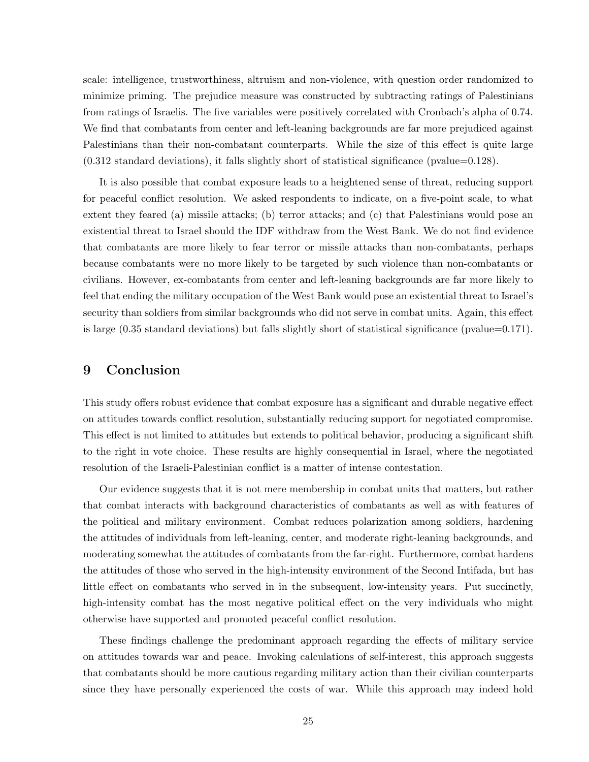scale: intelligence, trustworthiness, altruism and non-violence, with question order randomized to minimize priming. The prejudice measure was constructed by subtracting ratings of Palestinians from ratings of Israelis. The five variables were positively correlated with Cronbach's alpha of 0.74. We find that combatants from center and left-leaning backgrounds are far more prejudiced against Palestinians than their non-combatant counterparts. While the size of this effect is quite large (0.312 standard deviations), it falls slightly short of statistical significance (pvalue=0.128).

It is also possible that combat exposure leads to a heightened sense of threat, reducing support for peaceful conflict resolution. We asked respondents to indicate, on a five-point scale, to what extent they feared (a) missile attacks; (b) terror attacks; and (c) that Palestinians would pose an existential threat to Israel should the IDF withdraw from the West Bank. We do not find evidence that combatants are more likely to fear terror or missile attacks than non-combatants, perhaps because combatants were no more likely to be targeted by such violence than non-combatants or civilians. However, ex-combatants from center and left-leaning backgrounds are far more likely to feel that ending the military occupation of the West Bank would pose an existential threat to Israel's security than soldiers from similar backgrounds who did not serve in combat units. Again, this effect is large (0.35 standard deviations) but falls slightly short of statistical significance (pvalue=0.171).

## 9 Conclusion

This study offers robust evidence that combat exposure has a significant and durable negative effect on attitudes towards conflict resolution, substantially reducing support for negotiated compromise. This effect is not limited to attitudes but extends to political behavior, producing a significant shift to the right in vote choice. These results are highly consequential in Israel, where the negotiated resolution of the Israeli-Palestinian conflict is a matter of intense contestation.

Our evidence suggests that it is not mere membership in combat units that matters, but rather that combat interacts with background characteristics of combatants as well as with features of the political and military environment. Combat reduces polarization among soldiers, hardening the attitudes of individuals from left-leaning, center, and moderate right-leaning backgrounds, and moderating somewhat the attitudes of combatants from the far-right. Furthermore, combat hardens the attitudes of those who served in the high-intensity environment of the Second Intifada, but has little effect on combatants who served in in the subsequent, low-intensity years. Put succinctly, high-intensity combat has the most negative political effect on the very individuals who might otherwise have supported and promoted peaceful conflict resolution.

These findings challenge the predominant approach regarding the effects of military service on attitudes towards war and peace. Invoking calculations of self-interest, this approach suggests that combatants should be more cautious regarding military action than their civilian counterparts since they have personally experienced the costs of war. While this approach may indeed hold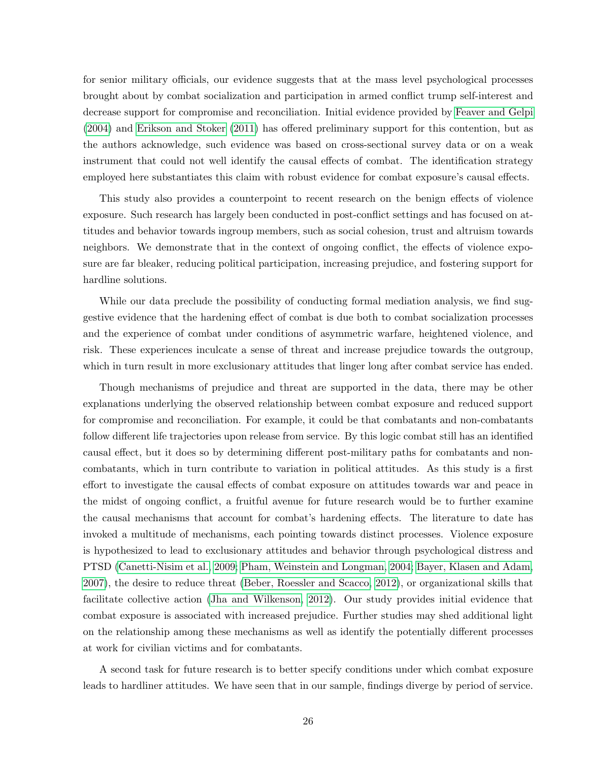for senior military officials, our evidence suggests that at the mass level psychological processes brought about by combat socialization and participation in armed conflict trump self-interest and decrease support for compromise and reconciliation. Initial evidence provided by [Feaver and Gelpi](#page-27-4) [\(2004\)](#page-27-4) and [Erikson and Stoker](#page-27-5) [\(2011\)](#page-27-5) has offered preliminary support for this contention, but as the authors acknowledge, such evidence was based on cross-sectional survey data or on a weak instrument that could not well identify the causal effects of combat. The identification strategy employed here substantiates this claim with robust evidence for combat exposure's causal effects.

This study also provides a counterpoint to recent research on the benign effects of violence exposure. Such research has largely been conducted in post-conflict settings and has focused on attitudes and behavior towards ingroup members, such as social cohesion, trust and altruism towards neighbors. We demonstrate that in the context of ongoing conflict, the effects of violence exposure are far bleaker, reducing political participation, increasing prejudice, and fostering support for hardline solutions.

While our data preclude the possibility of conducting formal mediation analysis, we find suggestive evidence that the hardening effect of combat is due both to combat socialization processes and the experience of combat under conditions of asymmetric warfare, heightened violence, and risk. These experiences inculcate a sense of threat and increase prejudice towards the outgroup, which in turn result in more exclusionary attitudes that linger long after combat service has ended.

Though mechanisms of prejudice and threat are supported in the data, there may be other explanations underlying the observed relationship between combat exposure and reduced support for compromise and reconciliation. For example, it could be that combatants and non-combatants follow different life trajectories upon release from service. By this logic combat still has an identified causal effect, but it does so by determining different post-military paths for combatants and noncombatants, which in turn contribute to variation in political attitudes. As this study is a first effort to investigate the causal effects of combat exposure on attitudes towards war and peace in the midst of ongoing conflict, a fruitful avenue for future research would be to further examine the causal mechanisms that account for combat's hardening effects. The literature to date has invoked a multitude of mechanisms, each pointing towards distinct processes. Violence exposure is hypothesized to lead to exclusionary attitudes and behavior through psychological distress and PTSD [\(Canetti-Nisim et al., 2009;](#page-27-9) [Pham, Weinstein and Longman, 2004;](#page-29-9) [Bayer, Klasen and Adam,](#page-27-7) [2007\)](#page-27-7), the desire to reduce threat [\(Beber, Roessler and Scacco, 2012\)](#page-27-8), or organizational skills that facilitate collective action [\(Jha and Wilkenson, 2012\)](#page-28-2). Our study provides initial evidence that combat exposure is associated with increased prejudice. Further studies may shed additional light on the relationship among these mechanisms as well as identify the potentially different processes at work for civilian victims and for combatants.

A second task for future research is to better specify conditions under which combat exposure leads to hardliner attitudes. We have seen that in our sample, findings diverge by period of service.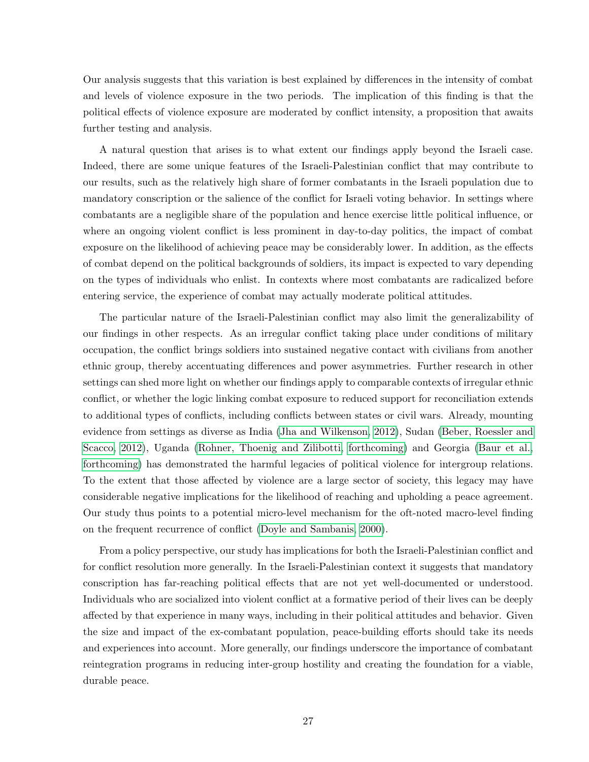Our analysis suggests that this variation is best explained by differences in the intensity of combat and levels of violence exposure in the two periods. The implication of this finding is that the political effects of violence exposure are moderated by conflict intensity, a proposition that awaits further testing and analysis.

A natural question that arises is to what extent our findings apply beyond the Israeli case. Indeed, there are some unique features of the Israeli-Palestinian conflict that may contribute to our results, such as the relatively high share of former combatants in the Israeli population due to mandatory conscription or the salience of the conflict for Israeli voting behavior. In settings where combatants are a negligible share of the population and hence exercise little political influence, or where an ongoing violent conflict is less prominent in day-to-day politics, the impact of combat exposure on the likelihood of achieving peace may be considerably lower. In addition, as the effects of combat depend on the political backgrounds of soldiers, its impact is expected to vary depending on the types of individuals who enlist. In contexts where most combatants are radicalized before entering service, the experience of combat may actually moderate political attitudes.

The particular nature of the Israeli-Palestinian conflict may also limit the generalizability of our findings in other respects. As an irregular conflict taking place under conditions of military occupation, the conflict brings soldiers into sustained negative contact with civilians from another ethnic group, thereby accentuating differences and power asymmetries. Further research in other settings can shed more light on whether our findings apply to comparable contexts of irregular ethnic conflict, or whether the logic linking combat exposure to reduced support for reconciliation extends to additional types of conflicts, including conflicts between states or civil wars. Already, mounting evidence from settings as diverse as India [\(Jha and Wilkenson, 2012\)](#page-28-2), Sudan [\(Beber, Roessler and](#page-27-8) [Scacco, 2012\)](#page-27-8), Uganda [\(Rohner, Thoenig and Zilibotti, forthcoming\)](#page-29-10) and Georgia [\(Baur et al.,](#page-27-14) [forthcoming\)](#page-27-14) has demonstrated the harmful legacies of political violence for intergroup relations. To the extent that those affected by violence are a large sector of society, this legacy may have considerable negative implications for the likelihood of reaching and upholding a peace agreement. Our study thus points to a potential micro-level mechanism for the oft-noted macro-level finding on the frequent recurrence of conflict [\(Doyle and Sambanis, 2000\)](#page-27-15).

From a policy perspective, our study has implications for both the Israeli-Palestinian conflict and for conflict resolution more generally. In the Israeli-Palestinian context it suggests that mandatory conscription has far-reaching political effects that are not yet well-documented or understood. Individuals who are socialized into violent conflict at a formative period of their lives can be deeply affected by that experience in many ways, including in their political attitudes and behavior. Given the size and impact of the ex-combatant population, peace-building efforts should take its needs and experiences into account. More generally, our findings underscore the importance of combatant reintegration programs in reducing inter-group hostility and creating the foundation for a viable, durable peace.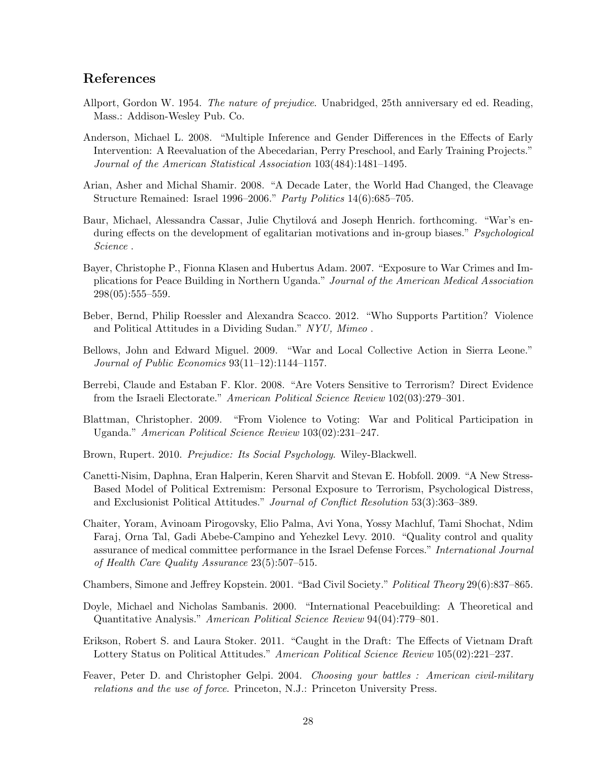## References

- <span id="page-27-3"></span>Allport, Gordon W. 1954. The nature of prejudice. Unabridged, 25th anniversary ed ed. Reading, Mass.: Addison-Wesley Pub. Co.
- <span id="page-27-12"></span>Anderson, Michael L. 2008. "Multiple Inference and Gender Differences in the Effects of Early Intervention: A Reevaluation of the Abecedarian, Perry Preschool, and Early Training Projects." Journal of the American Statistical Association 103(484):1481–1495.
- <span id="page-27-13"></span>Arian, Asher and Michal Shamir. 2008. "A Decade Later, the World Had Changed, the Cleavage Structure Remained: Israel 1996–2006." Party Politics 14(6):685–705.
- <span id="page-27-14"></span>Baur, Michael, Alessandra Cassar, Julie Chytilová and Joseph Henrich. forthcoming. "War's enduring effects on the development of egalitarian motivations and in-group biases." *Psychological* Science .
- <span id="page-27-7"></span>Bayer, Christophe P., Fionna Klasen and Hubertus Adam. 2007. "Exposure to War Crimes and Implications for Peace Building in Northern Uganda." Journal of the American Medical Association 298(05):555–559.
- <span id="page-27-8"></span>Beber, Bernd, Philip Roessler and Alexandra Scacco. 2012. "Who Supports Partition? Violence and Political Attitudes in a Dividing Sudan." NYU, Mimeo .
- <span id="page-27-1"></span>Bellows, John and Edward Miguel. 2009. "War and Local Collective Action in Sierra Leone." Journal of Public Economics 93(11–12):1144–1157.
- <span id="page-27-10"></span>Berrebi, Claude and Estaban F. Klor. 2008. "Are Voters Sensitive to Terrorism? Direct Evidence from the Israeli Electorate." American Political Science Review 102(03):279–301.
- <span id="page-27-0"></span>Blattman, Christopher. 2009. "From Violence to Voting: War and Political Participation in Uganda." American Political Science Review 103(02):231–247.
- <span id="page-27-6"></span>Brown, Rupert. 2010. Prejudice: Its Social Psychology. Wiley-Blackwell.
- <span id="page-27-9"></span>Canetti-Nisim, Daphna, Eran Halperin, Keren Sharvit and Stevan E. Hobfoll. 2009. "A New Stress-Based Model of Political Extremism: Personal Exposure to Terrorism, Psychological Distress, and Exclusionist Political Attitudes." Journal of Conflict Resolution 53(3):363–389.
- <span id="page-27-11"></span>Chaiter, Yoram, Avinoam Pirogovsky, Elio Palma, Avi Yona, Yossy Machluf, Tami Shochat, Ndim Faraj, Orna Tal, Gadi Abebe-Campino and Yehezkel Levy. 2010. "Quality control and quality assurance of medical committee performance in the Israel Defense Forces." International Journal of Health Care Quality Assurance 23(5):507–515.

<span id="page-27-2"></span>Chambers, Simone and Jeffrey Kopstein. 2001. "Bad Civil Society." Political Theory 29(6):837–865.

- <span id="page-27-15"></span>Doyle, Michael and Nicholas Sambanis. 2000. "International Peacebuilding: A Theoretical and Quantitative Analysis." American Political Science Review 94(04):779–801.
- <span id="page-27-5"></span>Erikson, Robert S. and Laura Stoker. 2011. "Caught in the Draft: The Effects of Vietnam Draft Lottery Status on Political Attitudes." American Political Science Review 105(02):221–237.
- <span id="page-27-4"></span>Feaver, Peter D. and Christopher Gelpi. 2004. Choosing your battles : American civil-military relations and the use of force. Princeton, N.J.: Princeton University Press.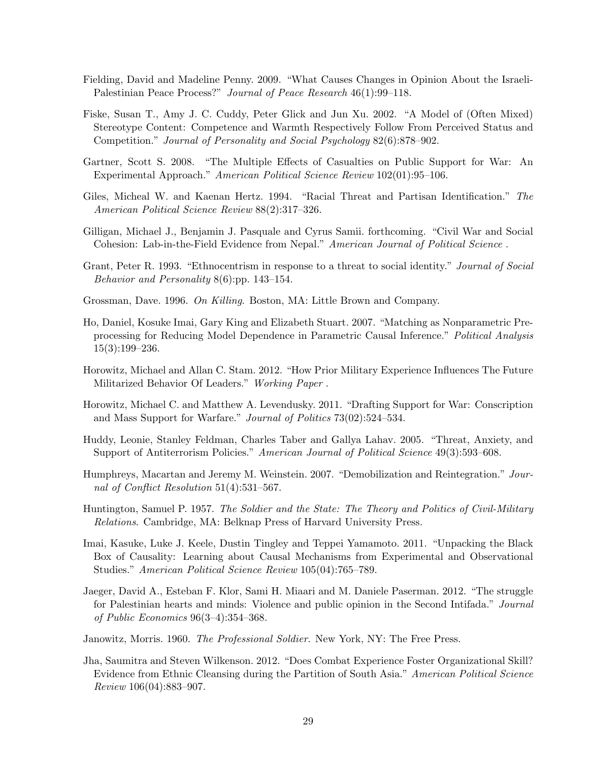- <span id="page-28-15"></span>Fielding, David and Madeline Penny. 2009. "What Causes Changes in Opinion About the Israeli-Palestinian Peace Process?" Journal of Peace Research 46(1):99–118.
- <span id="page-28-9"></span>Fiske, Susan T., Amy J. C. Cuddy, Peter Glick and Jun Xu. 2002. "A Model of (Often Mixed) Stereotype Content: Competence and Warmth Respectively Follow From Perceived Status and Competition." Journal of Personality and Social Psychology 82(6):878–902.
- <span id="page-28-6"></span>Gartner, Scott S. 2008. "The Multiple Effects of Casualties on Public Support for War: An Experimental Approach." American Political Science Review 102(01):95–106.
- <span id="page-28-11"></span>Giles, Micheal W. and Kaenan Hertz. 1994. "Racial Threat and Partisan Identification." The American Political Science Review 88(2):317–326.
- <span id="page-28-1"></span>Gilligan, Michael J., Benjamin J. Pasquale and Cyrus Samii. forthcoming. "Civil War and Social Cohesion: Lab-in-the-Field Evidence from Nepal." American Journal of Political Science.
- <span id="page-28-12"></span>Grant, Peter R. 1993. "Ethnocentrism in response to a threat to social identity." Journal of Social Behavior and Personality 8(6):pp. 143–154.
- <span id="page-28-8"></span>Grossman, Dave. 1996. On Killing. Boston, MA: Little Brown and Company.
- <span id="page-28-14"></span>Ho, Daniel, Kosuke Imai, Gary King and Elizabeth Stuart. 2007. "Matching as Nonparametric Preprocessing for Reducing Model Dependence in Parametric Causal Inference." Political Analysis 15(3):199–236.
- <span id="page-28-3"></span>Horowitz, Michael and Allan C. Stam. 2012. "How Prior Military Experience Influences The Future Militarized Behavior Of Leaders." Working Paper.
- <span id="page-28-7"></span>Horowitz, Michael C. and Matthew A. Levendusky. 2011. "Drafting Support for War: Conscription and Mass Support for Warfare." Journal of Politics 73(02):524–534.
- <span id="page-28-10"></span>Huddy, Leonie, Stanley Feldman, Charles Taber and Gallya Lahav. 2005. "Threat, Anxiety, and Support of Antiterrorism Policies." American Journal of Political Science 49(3):593–608.
- <span id="page-28-0"></span>Humphreys, Macartan and Jeremy M. Weinstein. 2007. "Demobilization and Reintegration." Journal of Conflict Resolution 51(4):531–567.
- <span id="page-28-4"></span>Huntington, Samuel P. 1957. The Soldier and the State: The Theory and Politics of Civil-Military Relations. Cambridge, MA: Belknap Press of Harvard University Press.
- <span id="page-28-16"></span>Imai, Kasuke, Luke J. Keele, Dustin Tingley and Teppei Yamamoto. 2011. "Unpacking the Black Box of Causality: Learning about Causal Mechanisms from Experimental and Observational Studies." American Political Science Review 105(04):765–789.
- <span id="page-28-13"></span>Jaeger, David A., Esteban F. Klor, Sami H. Miaari and M. Daniele Paserman. 2012. "The struggle for Palestinian hearts and minds: Violence and public opinion in the Second Intifada." Journal of Public Economics 96(3–4):354–368.
- <span id="page-28-5"></span>Janowitz, Morris. 1960. *The Professional Soldier*. New York, NY: The Free Press.
- <span id="page-28-2"></span>Jha, Saumitra and Steven Wilkenson. 2012. "Does Combat Experience Foster Organizational Skill? Evidence from Ethnic Cleansing during the Partition of South Asia." American Political Science Review 106(04):883–907.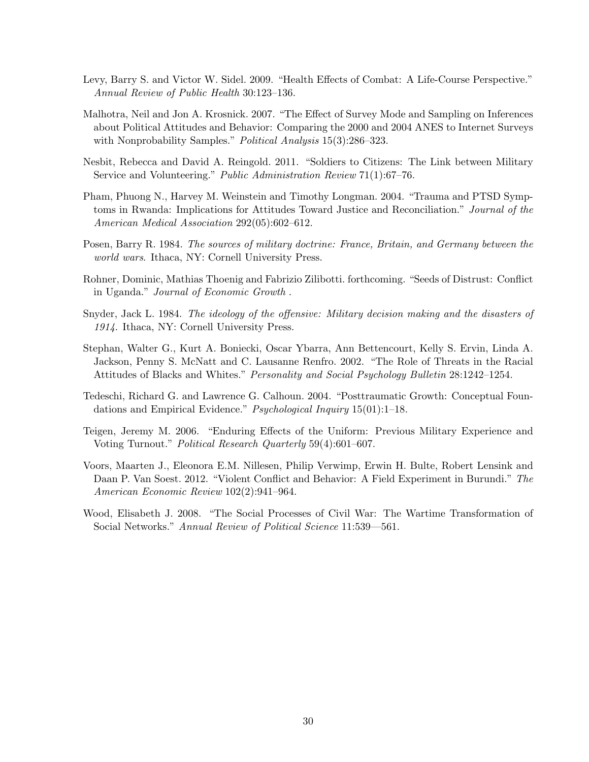- <span id="page-29-8"></span>Levy, Barry S. and Victor W. Sidel. 2009. "Health Effects of Combat: A Life-Course Perspective." Annual Review of Public Health 30:123–136.
- <span id="page-29-11"></span>Malhotra, Neil and Jon A. Krosnick. 2007. "The Effect of Survey Mode and Sampling on Inferences about Political Attitudes and Behavior: Comparing the 2000 and 2004 ANES to Internet Surveys with Nonprobability Samples." *Political Analysis* 15(3):286–323.
- <span id="page-29-0"></span>Nesbit, Rebecca and David A. Reingold. 2011. "Soldiers to Citizens: The Link between Military Service and Volunteering." Public Administration Review 71(1):67–76.
- <span id="page-29-9"></span>Pham, Phuong N., Harvey M. Weinstein and Timothy Longman. 2004. "Trauma and PTSD Symptoms in Rwanda: Implications for Attitudes Toward Justice and Reconciliation." Journal of the American Medical Association 292(05):602–612.
- <span id="page-29-7"></span>Posen, Barry R. 1984. The sources of military doctrine: France, Britain, and Germany between the world wars. Ithaca, NY: Cornell University Press.
- <span id="page-29-10"></span>Rohner, Dominic, Mathias Thoenig and Fabrizio Zilibotti. forthcoming. "Seeds of Distrust: Conflict in Uganda." Journal of Economic Growth .
- <span id="page-29-3"></span>Snyder, Jack L. 1984. The ideology of the offensive: Military decision making and the disasters of 1914. Ithaca, NY: Cornell University Press.
- <span id="page-29-4"></span>Stephan, Walter G., Kurt A. Boniecki, Oscar Ybarra, Ann Bettencourt, Kelly S. Ervin, Linda A. Jackson, Penny S. McNatt and C. Lausanne Renfro. 2002. "The Role of Threats in the Racial Attitudes of Blacks and Whites." Personality and Social Psychology Bulletin 28:1242–1254.
- <span id="page-29-5"></span>Tedeschi, Richard G. and Lawrence G. Calhoun. 2004. "Posttraumatic Growth: Conceptual Foundations and Empirical Evidence." Psychological Inquiry 15(01):1-18.
- <span id="page-29-1"></span>Teigen, Jeremy M. 2006. "Enduring Effects of the Uniform: Previous Military Experience and Voting Turnout." Political Research Quarterly 59(4):601–607.
- <span id="page-29-2"></span>Voors, Maarten J., Eleonora E.M. Nillesen, Philip Verwimp, Erwin H. Bulte, Robert Lensink and Daan P. Van Soest. 2012. "Violent Conflict and Behavior: A Field Experiment in Burundi." The American Economic Review 102(2):941–964.
- <span id="page-29-6"></span>Wood, Elisabeth J. 2008. "The Social Processes of Civil War: The Wartime Transformation of Social Networks." Annual Review of Political Science 11:539—561.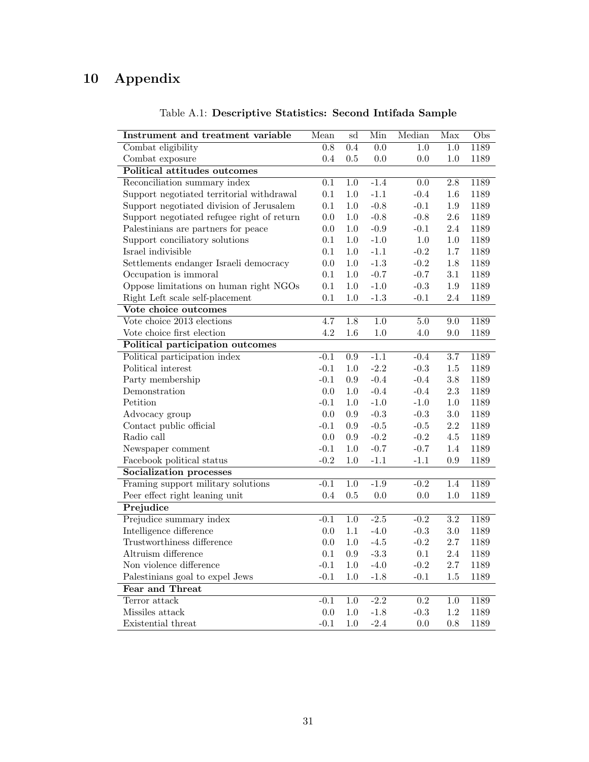# <span id="page-30-0"></span>10 Appendix

| Instrument and treatment variable          | Mean             | sd               | Min              | Median           | Max              | $\overline{\mathrm{Obs}}$ |
|--------------------------------------------|------------------|------------------|------------------|------------------|------------------|---------------------------|
| Combat eligibility                         | $\overline{0.8}$ | 0.4              | $\overline{0.0}$ | $\overline{1.0}$ | $\overline{1.0}$ | 1189                      |
| Combat exposure                            | 0.4              | 0.5              | 0.0              | 0.0              | 1.0              | 1189                      |
| Political attitudes outcomes               |                  |                  |                  |                  |                  |                           |
| Reconciliation summary index               | $\overline{0.1}$ | $\overline{1.0}$ | $-1.4$           | 0.0              | $\overline{2.8}$ | 1189                      |
| Support negotiated territorial withdrawal  | $0.1\,$          | $1.0\,$          | $-1.1$           | $-0.4$           | $1.6\,$          | 1189                      |
| Support negotiated division of Jerusalem   | 0.1              | $1.0\,$          | $-0.8$           | $-0.1$           | $1.9\,$          | 1189                      |
| Support negotiated refugee right of return | $0.0\,$          | $1.0\,$          | $-0.8$           | $-0.8$           | $2.6\,$          | 1189                      |
| Palestinians are partners for peace        | $0.0\,$          | $1.0\,$          | $-0.9$           | $-0.1$           | 2.4              | 1189                      |
| Support conciliatory solutions             | 0.1              | $1.0\,$          | $-1.0$           | $1.0\,$          | $1.0\,$          | 1189                      |
| Israel indivisible                         | 0.1              | $1.0\,$          | $-1.1$           | $-0.2$           | 1.7              | 1189                      |
| Settlements endanger Israeli democracy     | 0.0              | $1.0\,$          | $-1.3$           | $-0.2$           | 1.8              | 1189                      |
| Occupation is immoral                      | $0.1\,$          | $1.0\,$          | $-0.7$           | $-0.7$           | 3.1              | 1189                      |
| Oppose limitations on human right NGOs     | 0.1              | $1.0\,$          | $-1.0$           | $-0.3$           | $1.9\,$          | 1189                      |
| Right Left scale self-placement            | $0.1\,$          | $1.0\,$          | $-1.3$           | $-0.1$           | $2.4\,$          | 1189                      |
| Vote choice outcomes                       |                  |                  |                  |                  |                  |                           |
| Vote choice 2013 elections                 | 4.7              | 1.8              | $\overline{1.0}$ | 5.0              | $9.0\,$          | 1189                      |
| Vote choice first election                 | 4.2              | 1.6              | 1.0              | 4.0              | 9.0              | 1189                      |
| Political participation outcomes           |                  |                  |                  |                  |                  |                           |
| Political participation index              | $-0.1$           | $\overline{0.9}$ | $-1.1$           | $-0.4$           | $\overline{3.7}$ | 1189                      |
| Political interest                         | $-0.1$           | $1.0\,$          | $-2.2$           | $-0.3$           | $1.5\,$          | 1189                      |
| Party membership                           | $-0.1$           | $\rm 0.9$        | $-0.4$           | $-0.4$           | $3.8\,$          | 1189                      |
| Demonstration                              | 0.0              | $1.0\,$          | $-0.4$           | $-0.4$           | $2.3\,$          | 1189                      |
| Petition                                   | $-0.1$           | $1.0\,$          | $-1.0$           | $-1.0$           | $1.0\,$          | 1189                      |
| Advocacy group                             | 0.0              | 0.9              | $-0.3$           | $-0.3$           | 3.0              | 1189                      |
| Contact public official                    | $-0.1$           | $\rm 0.9$        | $-0.5$           | $-0.5$           | 2.2              | 1189                      |
| Radio call                                 | 0.0              | $\rm 0.9$        | $-0.2$           | $-0.2$           | 4.5              | 1189                      |
| Newspaper comment                          | $-0.1$           | $1.0\,$          | $-0.7$           | $-0.7$           | 1.4              | 1189                      |
| Facebook political status                  | $-0.2$           | $1.0\,$          | $-1.1$           | $-1.1$           | 0.9              | 1189                      |
| <b>Socialization processes</b>             |                  |                  |                  |                  |                  |                           |
| Framing support military solutions         | $-0.1$           | 1.0              | $-1.9$           | $-0.2$           | 1.4              | 1189                      |
| Peer effect right leaning unit             | 0.4              | 0.5              | 0.0              | 0.0              | 1.0              | 1189                      |
| Prejudice                                  |                  |                  |                  |                  |                  |                           |
| Prejudice summary index                    | $-0.1$           | $\overline{1.0}$ | $-2.5$           | $-0.2$           | $\overline{3.2}$ | 1189                      |
| Intelligence difference                    | $0.0\,$          | $1.1\,$          | $-4.0$           | $-0.3$           | $3.0\,$          | 1189                      |
| Trustworthiness difference                 | 0.0              | $1.0\,$          | $-4.5$           | $-0.2$           | 2.7              | 1189                      |
| Altruism difference                        | 0.1              | $\rm 0.9$        | $-3.3$           | $0.1\,$          | 2.4              | 1189                      |
| Non violence difference                    | $-0.1$           | $1.0\,$          | $-4.0$           | $-0.2$           | 2.7              | 1189                      |
| Palestinians goal to expel Jews            | $-0.1$           | $1.0\,$          | $-1.8$           | $-0.1$           | $1.5\,$          | 1189                      |
| Fear and Threat                            |                  |                  |                  |                  |                  |                           |
| Terror attack                              | $-0.1$           | $1.0\,$          | $-2.2$           | $\overline{0.2}$ | $\overline{1.0}$ | 1189                      |
| Missiles attack                            | 0.0              | $1.0\,$          | $-1.8$           | $-0.3$           | $1.2\,$          | 1189                      |
| Existential threat                         | $-0.1$           | 1.0              | $-2.4$           | 0.0              | 0.8              | 1189                      |

Table A.1: Descriptive Statistics: Second Intifada Sample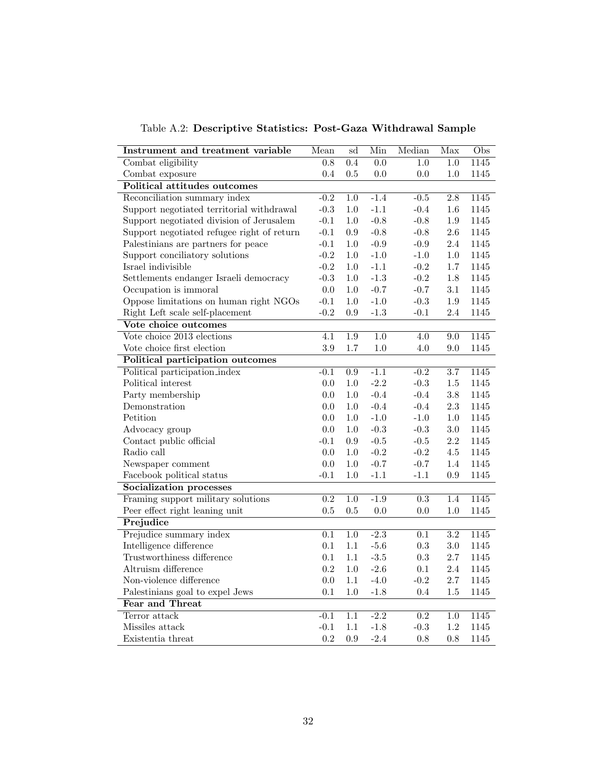<span id="page-31-0"></span>

| Instrument and treatment variable          | Mean             | $\overline{\text{sd}}$ | Min              | Median           | Max              | $\overline{\mathrm{Obs}}$ |
|--------------------------------------------|------------------|------------------------|------------------|------------------|------------------|---------------------------|
| Combat eligibility                         | $\overline{0.8}$ | $\overline{0.4}$       | $\overline{0.0}$ | $\overline{1.0}$ | $\overline{1.0}$ | 1145                      |
| Combat exposure                            | 0.4              | 0.5                    | 0.0              | 0.0              | 1.0              | 1145                      |
| <b>Political attitudes outcomes</b>        |                  |                        |                  |                  |                  |                           |
| Reconciliation summary index               | $-0.2$           | $1.0\,$                | $-1.4$           | $-0.5$           | 2.8              | 1145                      |
| Support negotiated territorial withdrawal  | $-0.3$           | $1.0\,$                | $-1.1$           | $-0.4$           | $1.6\,$          | 1145                      |
| Support negotiated division of Jerusalem   | $-0.1$           | $1.0\,$                | $-0.8$           | $-0.8$           | $1.9\,$          | 1145                      |
| Support negotiated refugee right of return | $-0.1$           | $\rm 0.9$              | $-0.8$           | $-0.8$           | $2.6\,$          | 1145                      |
| Palestinians are partners for peace        | $-0.1$           | $1.0\,$                | $-0.9$           | $-0.9$           | $2.4\,$          | $1145\,$                  |
| Support conciliatory solutions             | $-0.2$           | $1.0\,$                | $-1.0$           | $-1.0$           | $1.0\,$          | 1145                      |
| Israel indivisible                         | $-0.2$           | $1.0\,$                | $-1.1$           | $-0.2$           | $1.7\,$          | 1145                      |
| Settlements endanger Israeli democracy     | $-0.3$           | $1.0\,$                | $-1.3$           | $-0.2$           | $1.8\,$          | $1145\,$                  |
| Occupation is immoral                      | 0.0              | $1.0\,$                | $-0.7$           | $-0.7$           | 3.1              | 1145                      |
| Oppose limitations on human right NGOs     | $-0.1$           | 1.0                    | $-1.0$           | $-0.3$           | 1.9              | 1145                      |
| Right Left scale self-placement            | $-0.2$           | 0.9                    | $-1.3$           | $-0.1$           | $2.4\,$          | 1145                      |
| Vote choice outcomes                       |                  |                        |                  |                  |                  |                           |
| Vote choice 2013 elections                 | 4.1              | 1.9                    | 1.0              | 4.0              | 9.0              | 1145                      |
| Vote choice first election                 | $3.9\,$          | 1.7                    | 1.0              | 4.0              | 9.0              | 1145                      |
| Political participation outcomes           |                  |                        |                  |                  |                  |                           |
| Political participation_index              | $-0.1$           | $\rm 0.9$              | $-1.1$           | $-0.2$           | $3.7\,$          | 1145                      |
| Political interest                         | 0.0              | $1.0\,$                | $-2.2$           | $-0.3$           | $1.5\,$          | 1145                      |
| Party membership                           | 0.0              | $1.0\,$                | $-0.4$           | $-0.4$           | $3.8\,$          | 1145                      |
| Demonstration                              | 0.0              | 1.0                    | $-0.4$           | $-0.4$           | $2.3\,$          | 1145                      |
| Petition                                   | $0.0\,$          | $1.0\,$                | $-1.0$           | $-1.0$           | $1.0\,$          | $1145\,$                  |
| Advocacy group                             | 0.0              | $1.0\,$                | $-0.3$           | $-0.3$           | 3.0              | 1145                      |
| Contact public official                    | $-0.1$           | $\rm 0.9$              | $-0.5$           | $-0.5$           | 2.2              | 1145                      |
| Radio call                                 | 0.0              | 1.0                    | $-0.2$           | $-0.2$           | $4.5\,$          | 1145                      |
| Newspaper comment                          | 0.0              | $1.0\,$                | $-0.7$           | $-0.7$           | $1.4\,$          | 1145                      |
| Facebook political status                  | $-0.1$           | 1.0                    | $-1.1$           | $-1.1$           | $\rm 0.9$        | $1145\,$                  |
| Socialization processes                    |                  |                        |                  |                  |                  |                           |
| Framing support military solutions         | $\overline{0.2}$ | $1.0\,$                | $-1.9$           | $\overline{0.3}$ | 1.4              | 1145                      |
| Peer effect right leaning unit             | 0.5              | 0.5                    | 0.0              | 0.0              | $1.0\,$          | 1145                      |
| Prejudice                                  |                  |                        |                  |                  |                  |                           |
| Prejudice summary index                    | $\overline{0.1}$ | $\overline{1.0}$       | $-2.3$           | $\overline{0.1}$ | $\overline{3.2}$ | 1145                      |
| Intelligence difference                    | 0.1              | 1.1                    | $-5.6$           | 0.3              | $3.0\,$          | 1145                      |
| Trustworthiness difference                 | $0.1\,$          | 1.1                    | $-3.5$           | $\rm 0.3$        | $2.7\,$          | 1145                      |
| Altruism difference                        | 0.2              | $1.0\,$                | $-2.6$           | 0.1              | 2.4              | 1145                      |
| Non-violence difference                    | 0.0              | 1.1                    | $-4.0$           | $-0.2$           | $2.7\,$          | $1145\,$                  |
| Palestinians goal to expel Jews            | 0.1              | $1.0\,$                | $-1.8$           | 0.4              | $1.5\,$          | 1145                      |
| Fear and Threat                            |                  |                        |                  |                  |                  |                           |
| Terror attack                              | $-0.1$           | $\overline{1.1}$       | $-2.2$           | $\overline{0.2}$ | $\overline{1.0}$ | 1145                      |
| Missiles attack                            | $-0.1$           | 1.1                    | $-1.8$           | $-0.3$           | $1.2\,$          | 1145                      |
| Existentia threat                          | 0.2              | 0.9                    | $-2.4$           | $0.8\,$          | 0.8              | 1145                      |

Table A.2: Descriptive Statistics: Post-Gaza Withdrawal Sample